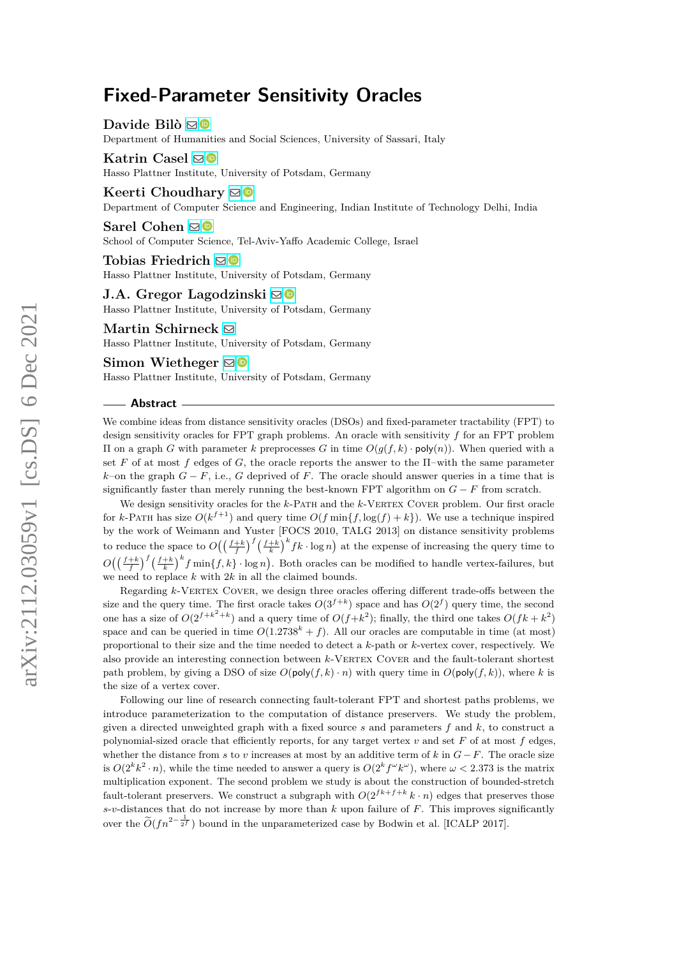Davide Bilò **<b>D** 

Department of Humanities and Social Sciences, University of Sassari, Italy

## **Katrin Casel** ⊠<sup>■</sup> Hasso Plattner Institute, University of Potsdam, Germany

**Keerti Choudhary**  $\mathbf{\mathbb{S}}$ Department of Computer Science and Engineering, Indian Institute of Technology Delhi, India

#### **Sarel Cohen** ⊠<sup>■</sup>

School of Computer Science, Tel-Aviv-Yaffo Academic College, Israel

**Tobias Friedrich** [!](mailto:tobias.friedrich@hpi.de) Hasso Plattner Institute, University of Potsdam, Germany

# **J.A. Gregor Lagodzinski** ⊠<sup>0</sup>

Hasso Plattner Institute, University of Potsdam, Germany

## **Martin Schirneck** [!](mailto:martin.schirneck@hpi.de)

Hasso Plattner Institute, University of Potsdam, Germany

#### **Simon Wietheger** ⊠<sup>■</sup>

Hasso Plattner Institute, University of Potsdam, Germany

#### **Abstract**

We combine ideas from distance sensitivity oracles (DSOs) and fixed-parameter tractability (FPT) to design sensitivity oracles for FPT graph problems. An oracle with sensitivity *f* for an FPT problem Π on a graph *G* with parameter *k* preprocesses *G* in time *O*(*g*(*f, k*) · poly(*n*)). When queried with a set F of at most f edges of G, the oracle reports the answer to the  $\Pi$ -with the same parameter *k*–on the graph  $G - F$ , i.e.,  $G$  deprived of  $F$ . The oracle should answer queries in a time that is significantly faster than merely running the best-known FPT algorithm on  $G - F$  from scratch.

We design sensitivity oracles for the *k*-PATH and the *k*-VERTEX COVER problem. Our first oracle for *k*-PATH has size  $O(k^{f+1})$  and query time  $O(f \min\{f, \log(f) + k\})$ . We use a technique inspired by the work of Weimann and Yuster [FOCS 2010, TALG 2013] on distance sensitivity problems to reduce the space to  $O((\frac{f+k}{f})^f(\frac{f+k}{k})^kfk \cdot \log n)$  at the expense of increasing the query time to  $O\left(\left(\frac{f+k}{f}\right)^f\left(\frac{f+k}{k}\right)^kf\min\{f,k\}\cdot\log n\right)$ . Both oracles can be modified to handle vertex-failures, but we need to replace *k* with 2*k* in all the claimed bounds.

Regarding *k*-VERTEX COVER, we design three oracles offering different trade-offs between the size and the query time. The first oracle takes  $O(3^{f+k})$  space and has  $O(2^f)$  query time, the second one has a size of  $O(2^{f+k^2+k})$  and a query time of  $O(f+k^2)$ ; finally, the third one takes  $O(fk+k^2)$ space and can be queried in time  $O(1.2738<sup>k</sup> + f)$ . All our oracles are computable in time (at most) proportional to their size and the time needed to detect a *k*-path or *k*-vertex cover, respectively. We also provide an interesting connection between *k*-VERTEX COVER and the fault-tolerant shortest path problem, by giving a DSO of size  $O(\text{poly}(f, k) \cdot n)$  with query time in  $O(\text{poly}(f, k))$ , where *k* is the size of a vertex cover.

Following our line of research connecting fault-tolerant FPT and shortest paths problems, we introduce parameterization to the computation of distance preservers. We study the problem, given a directed unweighted graph with a fixed source *s* and parameters *f* and *k*, to construct a polynomial-sized oracle that efficiently reports, for any target vertex  $v$  and set  $F$  of at most  $f$  edges, whether the distance from *s* to *v* increases at most by an additive term of  $k$  in  $G - F$ . The oracle size is  $O(2^k k^2 \cdot n)$ , while the time needed to answer a query is  $O(2^k f^{\omega} k^{\omega})$ , where  $\omega < 2.373$  is the matrix multiplication exponent. The second problem we study is about the construction of bounded-stretch fault-tolerant preservers. We construct a subgraph with  $O(2^{f k + f + k} k \cdot n)$  edges that preserves those  $s$ -*v*-distances that do not increase by more than  $k$  upon failure of  $F$ . This improves significantly over the  $\tilde{O}(fn^{2-\frac{1}{2^f}})$  bound in the unparameterized case by Bodwin et al. [ICALP 2017].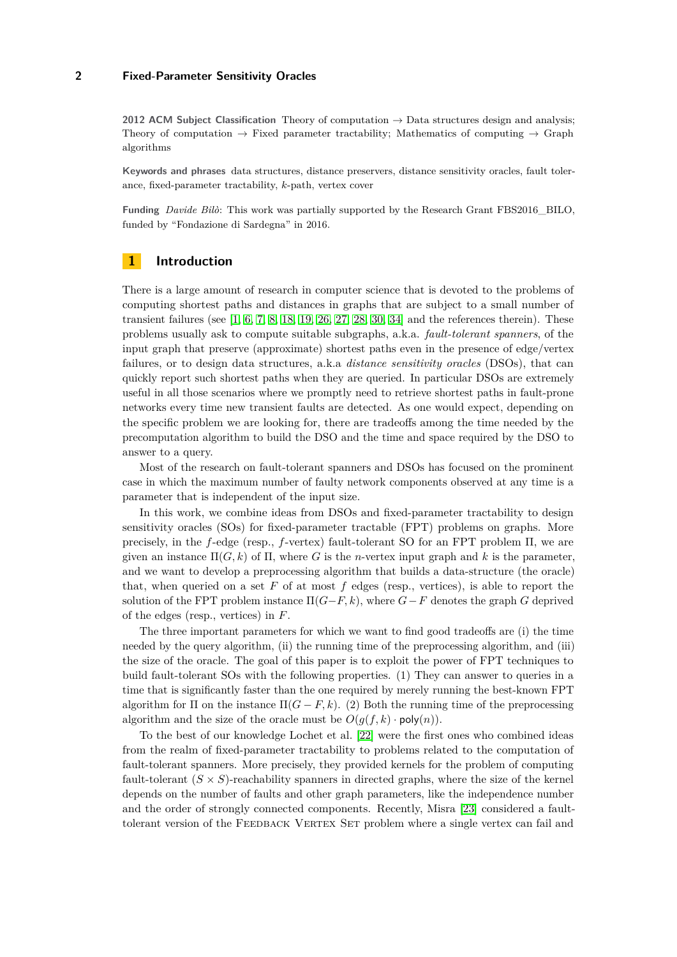**2012 ACM Subject Classification** Theory of computation → Data structures design and analysis; Theory of computation  $\rightarrow$  Fixed parameter tractability; Mathematics of computing  $\rightarrow$  Graph algorithms

**Keywords and phrases** data structures, distance preservers, distance sensitivity oracles, fault tolerance, fixed-parameter tractability, *k*-path, vertex cover

**Funding** *Davide Bilò*: This work was partially supported by the Research Grant FBS2016\_BILO, funded by "Fondazione di Sardegna" in 2016.

# **1 Introduction**

There is a large amount of research in computer science that is devoted to the problems of computing shortest paths and distances in graphs that are subject to a small number of transient failures (see  $[1, 6, 7, 8, 18, 19, 26, 27, 28, 30, 34]$  $[1, 6, 7, 8, 18, 19, 26, 27, 28, 30, 34]$  $[1, 6, 7, 8, 18, 19, 26, 27, 28, 30, 34]$  $[1, 6, 7, 8, 18, 19, 26, 27, 28, 30, 34]$  $[1, 6, 7, 8, 18, 19, 26, 27, 28, 30, 34]$  $[1, 6, 7, 8, 18, 19, 26, 27, 28, 30, 34]$  $[1, 6, 7, 8, 18, 19, 26, 27, 28, 30, 34]$  $[1, 6, 7, 8, 18, 19, 26, 27, 28, 30, 34]$  $[1, 6, 7, 8, 18, 19, 26, 27, 28, 30, 34]$  $[1, 6, 7, 8, 18, 19, 26, 27, 28, 30, 34]$  $[1, 6, 7, 8, 18, 19, 26, 27, 28, 30, 34]$  $[1, 6, 7, 8, 18, 19, 26, 27, 28, 30, 34]$  $[1, 6, 7, 8, 18, 19, 26, 27, 28, 30, 34]$  $[1, 6, 7, 8, 18, 19, 26, 27, 28, 30, 34]$  $[1, 6, 7, 8, 18, 19, 26, 27, 28, 30, 34]$  $[1, 6, 7, 8, 18, 19, 26, 27, 28, 30, 34]$  $[1, 6, 7, 8, 18, 19, 26, 27, 28, 30, 34]$  $[1, 6, 7, 8, 18, 19, 26, 27, 28, 30, 34]$  $[1, 6, 7, 8, 18, 19, 26, 27, 28, 30, 34]$  $[1, 6, 7, 8, 18, 19, 26, 27, 28, 30, 34]$  $[1, 6, 7, 8, 18, 19, 26, 27, 28, 30, 34]$  and the references therein). These problems usually ask to compute suitable subgraphs, a.k.a. *fault-tolerant spanners*, of the input graph that preserve (approximate) shortest paths even in the presence of edge/vertex failures, or to design data structures, a.k.a *distance sensitivity oracles* (DSOs), that can quickly report such shortest paths when they are queried. In particular DSOs are extremely useful in all those scenarios where we promptly need to retrieve shortest paths in fault-prone networks every time new transient faults are detected. As one would expect, depending on the specific problem we are looking for, there are tradeoffs among the time needed by the precomputation algorithm to build the DSO and the time and space required by the DSO to answer to a query.

Most of the research on fault-tolerant spanners and DSOs has focused on the prominent case in which the maximum number of faulty network components observed at any time is a parameter that is independent of the input size.

In this work, we combine ideas from DSOs and fixed-parameter tractability to design sensitivity oracles (SOs) for fixed-parameter tractable (FPT) problems on graphs. More precisely, in the *f*-edge (resp., *f*-vertex) fault-tolerant SO for an FPT problem Π, we are given an instance  $\Pi(G, k)$  of  $\Pi$ , where G is the *n*-vertex input graph and k is the parameter, and we want to develop a preprocessing algorithm that builds a data-structure (the oracle) that, when queried on a set  $F$  of at most  $f$  edges (resp., vertices), is able to report the solution of the FPT problem instance  $\Pi(G-F, k)$ , where  $G-F$  denotes the graph  $G$  deprived of the edges (resp., vertices) in *F*.

The three important parameters for which we want to find good tradeoffs are (i) the time needed by the query algorithm, (ii) the running time of the preprocessing algorithm, and (iii) the size of the oracle. The goal of this paper is to exploit the power of FPT techniques to build fault-tolerant SOs with the following properties. (1) They can answer to queries in a time that is significantly faster than the one required by merely running the best-known FPT algorithm for  $\Pi$  on the instance  $\Pi(G - F, k)$ . (2) Both the running time of the preprocessing algorithm and the size of the oracle must be  $O(g(f, k) \cdot \text{poly}(n))$ .

To the best of our knowledge Lochet et al. [\[22\]](#page-17-2) were the first ones who combined ideas from the realm of fixed-parameter tractability to problems related to the computation of fault-tolerant spanners. More precisely, they provided kernels for the problem of computing fault-tolerant  $(S \times S)$ -reachability spanners in directed graphs, where the size of the kernel depends on the number of faults and other graph parameters, like the independence number and the order of strongly connected components. Recently, Misra [\[23\]](#page-17-3) considered a faulttolerant version of the FEEDBACK VERTEX SET problem where a single vertex can fail and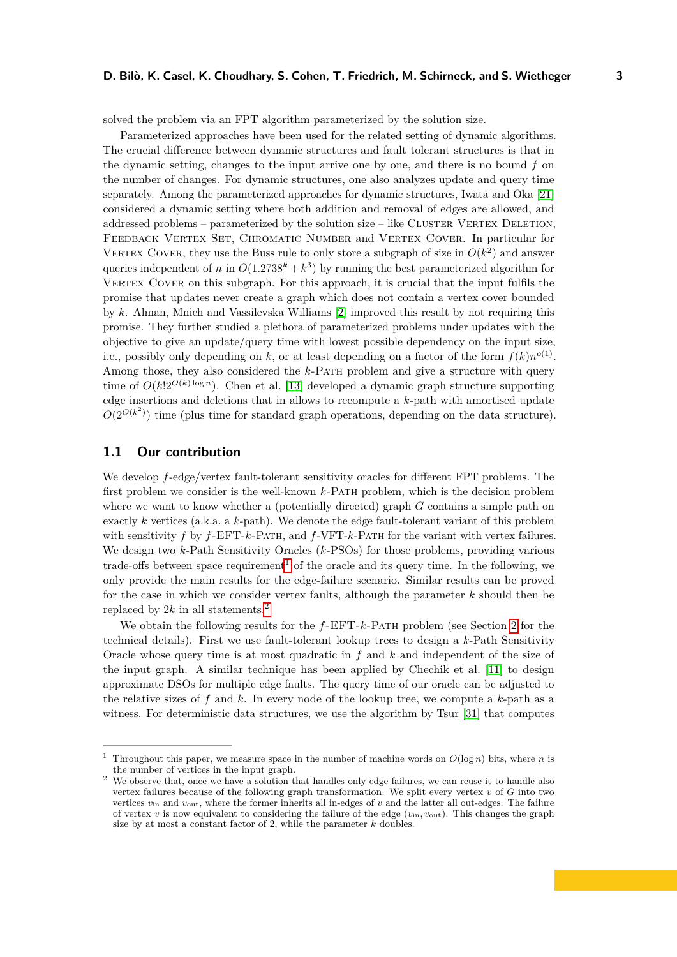solved the problem via an FPT algorithm parameterized by the solution size.

Parameterized approaches have been used for the related setting of dynamic algorithms. The crucial difference between dynamic structures and fault tolerant structures is that in the dynamic setting, changes to the input arrive one by one, and there is no bound *f* on the number of changes. For dynamic structures, one also analyzes update and query time separately. Among the parameterized approaches for dynamic structures, Iwata and Oka [\[21\]](#page-17-4) considered a dynamic setting where both addition and removal of edges are allowed, and addressed problems – parameterized by the solution size – like CLUSTER VERTEX DELETION, FEEDBACK VERTEX SET, CHROMATIC NUMBER and VERTEX COVER. In particular for VERTEX COVER, they use the Buss rule to only store a subgraph of size in  $O(k^2)$  and answer queries independent of *n* in  $O(1.2738<sup>k</sup> + k<sup>3</sup>)$  by running the best parameterized algorithm for VERTEX COVER on this subgraph. For this approach, it is crucial that the input fulfils the promise that updates never create a graph which does not contain a vertex cover bounded by *k*. Alman, Mnich and Vassilevska Williams [\[2\]](#page-16-4) improved this result by not requiring this promise. They further studied a plethora of parameterized problems under updates with the objective to give an update/query time with lowest possible dependency on the input size, i.e., possibly only depending on *k*, or at least depending on a factor of the form  $f(k)n^{o(1)}$ . Among those, they also considered the *k*-PATH problem and give a structure with query time of  $O(k!2^{O(k) \log n})$ . Chen et al. [\[13\]](#page-17-5) developed a dynamic graph structure supporting edge insertions and deletions that in allows to recompute a *k*-path with amortised update  $O(2^{O(k^2)})$  time (plus time for standard graph operations, depending on the data structure).

### **1.1 Our contribution**

We develop *f*-edge/vertex fault-tolerant sensitivity oracles for different FPT problems. The first problem we consider is the well-known *k*-Path problem, which is the decision problem where we want to know whether a (potentially directed) graph *G* contains a simple path on exactly *k* vertices (a.k.a. a *k*-path). We denote the edge fault-tolerant variant of this problem with sensitivity *f* by *f*-EFT-*k*-Path, and *f*-VFT-*k*-Path for the variant with vertex failures. We design two *k*-Path Sensitivity Oracles (*k*-PSOs) for those problems, providing various trade-offs between space requirement<sup>[1](#page-2-0)</sup> of the oracle and its query time. In the following, we only provide the main results for the edge-failure scenario. Similar results can be proved for the case in which we consider vertex faults, although the parameter *k* should then be replaced by  $2k$  $2k$  in all statements.<sup>2</sup>

We obtain the following results for the *f*-EFT-*k*-Path problem (see Section [2](#page-5-0) for the technical details). First we use fault-tolerant lookup trees to design a *k*-Path Sensitivity Oracle whose query time is at most quadratic in *f* and *k* and independent of the size of the input graph. A similar technique has been applied by Chechik et al. [\[11\]](#page-17-6) to design approximate DSOs for multiple edge faults. The query time of our oracle can be adjusted to the relative sizes of *f* and *k*. In every node of the lookup tree, we compute a *k*-path as a witness. For deterministic data structures, we use the algorithm by Tsur [\[31\]](#page-18-5) that computes

<span id="page-2-0"></span><sup>&</sup>lt;sup>1</sup> Throughout this paper, we measure space in the number of machine words on  $O(\log n)$  bits, where *n* is the number of vertices in the input graph.

<span id="page-2-1"></span><sup>&</sup>lt;sup>2</sup> We observe that, once we have a solution that handles only edge failures, we can reuse it to handle also vertex failures because of the following graph transformation. We split every vertex *v* of *G* into two vertices *v*in and *v*out, where the former inherits all in-edges of *v* and the latter all out-edges. The failure of vertex *v* is now equivalent to considering the failure of the edge (*v*in*, v*out). This changes the graph size by at most a constant factor of 2, while the parameter *k* doubles.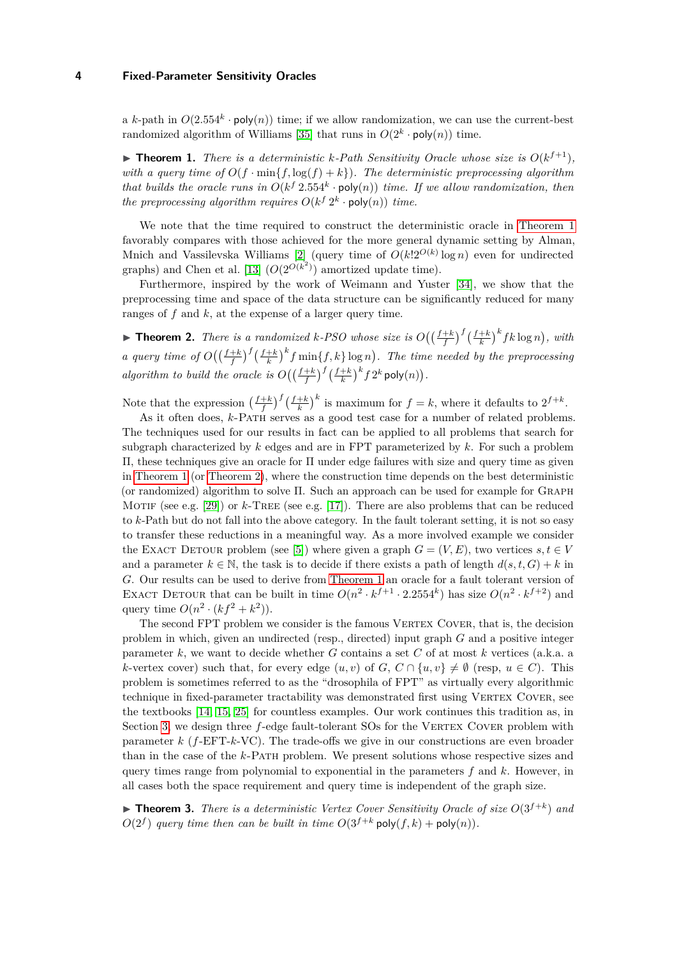a *k*-path in  $O(2.554^k \cdot \text{poly}(n))$  time; if we allow randomization, we can use the current-best randomized algorithm of Williams [\[35\]](#page-18-6) that runs in  $O(2^k \cdot \text{poly}(n))$  time.

<span id="page-3-0"></span> $\blacktriangleright$  **Theorem 1.** *There is a deterministic k-Path Sensitivity Oracle whose size is*  $O(k^{f+1})$ *, with a query time of*  $O(f \cdot \min\{f, \log(f) + k\})$ *. The deterministic preprocessing algorithm that builds the oracle runs in*  $O(k^f 2.554^k \cdot \text{poly}(n))$  *time. If we allow randomization, then the preprocessing algorithm requires*  $O(k^f 2^k \cdot \text{poly}(n))$  *time.* 

We note that the time required to construct the deterministic oracle in [Theorem 1](#page-3-0) favorably compares with those achieved for the more general dynamic setting by Alman, Mnich and Vassilevska Williams [\[2\]](#page-16-4) (query time of *O*(*k*!2*<sup>O</sup>*(*k*) log *n*) even for undirected graphs) and Chen et al. [\[13\]](#page-17-5)  $(O(2^{O(k^2)})$  amortized update time).

Furthermore, inspired by the work of Weimann and Yuster [\[34\]](#page-18-4), we show that the preprocessing time and space of the data structure can be significantly reduced for many ranges of *f* and *k*, at the expense of a larger query time.

<span id="page-3-1"></span>▶ **Theorem 2.** *There is a randomized k-PSO whose size is*  $O((\frac{f+k}{f})^f(\frac{f+k}{k})^k f k \log n)$ , with *a* query time of  $O\left(\left(\frac{f+k}{f}\right)^f\left(\frac{f+k}{k}\right)^kf\min\{f,k\}\log n\right)$ . The time needed by the preprocessing *algorithm to build the oracle is*  $O\left(\left(\frac{f+k}{f}\right)^f\left(\frac{f+k}{k}\right)^kf2^k \text{poly}(n)\right)$ .

Note that the expression  $\left(\frac{f+k}{f}\right)^f \left(\frac{f+k}{k}\right)^k$  is maximum for  $f = k$ , where it defaults to  $2^{f+k}$ .

As it often does, *k*-PATH serves as a good test case for a number of related problems. The techniques used for our results in fact can be applied to all problems that search for subgraph characterized by *k* edges and are in FPT parameterized by *k*. For such a problem Π, these techniques give an oracle for Π under edge failures with size and query time as given in [Theorem 1](#page-3-0) (or [Theorem 2\)](#page-3-1), where the construction time depends on the best deterministic (or randomized) algorithm to solve Π. Such an approach can be used for example for Graph MOTIF (see e.g. [\[29\]](#page-18-7)) or  $k$ -TREE (see e.g. [\[17\]](#page-17-7)). There are also problems that can be reduced to *k*-Path but do not fall into the above category. In the fault tolerant setting, it is not so easy to transfer these reductions in a meaningful way. As a more involved example we consider the EXACT DETOUR problem (see [\[5\]](#page-16-5)) where given a graph  $G = (V, E)$ , two vertices  $s, t \in V$ and a parameter  $k \in \mathbb{N}$ , the task is to decide if there exists a path of length  $d(s, t, G) + k$  in *G*. Our results can be used to derive from [Theorem 1](#page-3-0) an oracle for a fault tolerant version of EXACT DETOUR that can be built in time  $O(n^2 \cdot k^{f+1} \cdot 2.2554^k)$  has size  $O(n^2 \cdot k^{f+2})$  and query time  $O(n^2 \cdot (kf^2 + k^2)).$ 

The second FPT problem we consider is the famous VERTEX COVER, that is, the decision problem in which, given an undirected (resp., directed) input graph *G* and a positive integer parameter *k*, we want to decide whether *G* contains a set *C* of at most *k* vertices (a.k.a. a *k*-vertex cover) such that, for every edge  $(u, v)$  of *G*,  $C \cap \{u, v\} \neq \emptyset$  (resp,  $u \in C$ ). This problem is sometimes referred to as the "drosophila of FPT" as virtually every algorithmic technique in fixed-parameter tractability was demonstrated first using VERTEX COVER, see the textbooks [\[14,](#page-17-8) [15,](#page-17-9) [25\]](#page-17-10) for countless examples. Our work continues this tradition as, in Section [3,](#page-9-0) we design three f-edge fault-tolerant SOs for the VERTEX COVER problem with parameter *k* (*f*-EFT-*k*-VC). The trade-offs we give in our constructions are even broader than in the case of the *k*-Path problem. We present solutions whose respective sizes and query times range from polynomial to exponential in the parameters *f* and *k*. However, in all cases both the space requirement and query time is independent of the graph size.

<span id="page-3-2"></span> $\blacktriangleright$  **Theorem 3.** *There is a deterministic Vertex Cover Sensitivity Oracle of size*  $O(3^{f+k})$  *and*  $O(2^f)$  *query time then can be built in time*  $O(3^{f+k} \text{poly}(f, k) + \text{poly}(n))$ *.*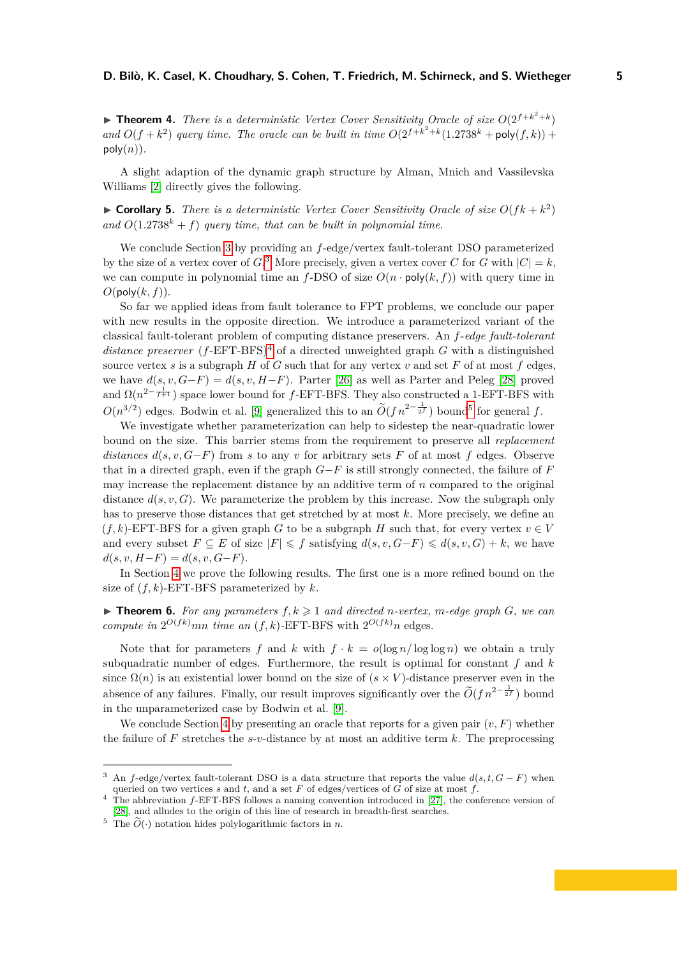**• Theorem 4.** *There is a deterministic Vertex Cover Sensitivity Oracle of size*  $O(2^{f+k^2+k})$ and  $O(f + k^2)$  *query time. The oracle can be built in time*  $O(2^{f+k^2+k}(1.2738^k + \text{poly}(f, k)) +$  $poly(n)$ .

A slight adaption of the dynamic graph structure by Alman, Mnich and Vassilevska Williams [\[2\]](#page-16-4) directly gives the following.

 $\triangleright$  **Corollary 5.** *There is a deterministic Vertex Cover Sensitivity Oracle of size*  $O(fk + k^2)$ and  $O(1.2738^k + f)$  *query time, that can be built in polynomial time.* 

We conclude Section [3](#page-9-0) by providing an *f*-edge/vertex fault-tolerant DSO parameterized by the size of a vertex cover of  $G$ .<sup>[3](#page-4-0)</sup> More precisely, given a vertex cover  $C$  for  $G$  with  $|C| = k$ , we can compute in polynomial time an  $f$ -DSO of size  $O(n \cdot \text{poly}(k, f))$  with query time in  $O(\text{poly}(k, f)).$ 

So far we applied ideas from fault tolerance to FPT problems, we conclude our paper with new results in the opposite direction. We introduce a parameterized variant of the classical fault-tolerant problem of computing distance preservers. An *f*-*edge fault-tolerant distance preserver*  $(f$ -EFT-BFS<sup> $)$ <sup>[4](#page-4-1)</sup> of a directed unweighted graph *G* with a distinguished</sup> source vertex *s* is a subgraph  $H$  of  $G$  such that for any vertex  $v$  and set  $F$  of at most  $f$  edges, we have  $d(s, v, G - F) = d(s, v, H - F)$ . Parter [\[26\]](#page-18-0) as well as Parter and Peleg [\[28\]](#page-18-2) proved and  $\Omega(n^{2-\frac{1}{f+1}})$  space lower bound for *f*-EFT-BFS. They also constructed a 1-EFT-BFS with  $O(n^{3/2})$  edges. Bodwin et al. [\[9\]](#page-17-11) generalized this to an  $\widetilde{O}(fn^{2-\frac{1}{2f}})$  bound<sup>[5](#page-4-2)</sup> for general *f*.

We investigate whether parameterization can help to sidestep the near-quadratic lower bound on the size. This barrier stems from the requirement to preserve all *replacement distances*  $d(s, v, G-F)$  from *s* to any *v* for arbitrary sets *F* of at most *f* edges. Observe that in a directed graph, even if the graph *G*−*F* is still strongly connected, the failure of *F* may increase the replacement distance by an additive term of *n* compared to the original distance  $d(s, v, G)$ . We parameterize the problem by this increase. Now the subgraph only has to preserve those distances that get stretched by at most *k*. More precisely, we define an  $(f, k)$ -EFT-BFS for a given graph *G* to be a subgraph *H* such that, for every vertex  $v \in V$ and every subset  $F \subseteq E$  of size  $|F| \leq \overline{f}$  satisfying  $d(s, v, G - F) \leq d(s, v, G) + k$ , we have  $d(s, v, H - F) = d(s, v, G - F).$ 

In Section [4](#page-14-0) we prove the following results. The first one is a more refined bound on the size of  $(f, k)$ -EFT-BFS parameterized by  $k$ .

<span id="page-4-3"></span> $\triangleright$  **Theorem 6.** For any parameters  $f, k \geqslant 1$  and directed *n*-vertex, *m*-edge graph *G*, we can *compute in*  $2^{O(fk)}$ *mn time an*  $(f, k)$ -EFT-BFS with  $2^{O(fk)}$ *n* edges.

Note that for parameters f and k with  $f \cdot k = o(\log n / \log \log n)$  we obtain a truly subquadratic number of edges. Furthermore, the result is optimal for constant *f* and *k* since  $\Omega(n)$  is an existential lower bound on the size of  $(s \times V)$ -distance preserver even in the absence of any failures. Finally, our result improves significantly over the  $\tilde{O}(f n^{2-\frac{1}{2f}})$  bound in the unparameterized case by Bodwin et al. [\[9\]](#page-17-11).

We conclude Section [4](#page-14-0) by presenting an oracle that reports for a given pair  $(v, F)$  whether the failure of  $F$  stretches the  $s$ - $v$ -distance by at most an additive term  $k$ . The preprocessing

<span id="page-4-0"></span><sup>3</sup> An *f*-edge/vertex fault-tolerant DSO is a data structure that reports the value *d*(*s, t, G* − *F*) when queried on two vertices *s* and *t*, and a set *F* of edges/vertices of  $\overline{G}$  of size at most  $f$ .

<span id="page-4-1"></span><sup>&</sup>lt;sup>4</sup> The abbreviation *f*-EFT-BFS follows a naming convention introduced in [\[27\]](#page-18-1), the conference version of [\[28\]](#page-18-2), and alludes to the origin of this line of research in breadth-first searches.

<span id="page-4-2"></span><sup>&</sup>lt;sup>5</sup> The  $\widetilde{O}(\cdot)$  notation hides polylogarithmic factors in *n*.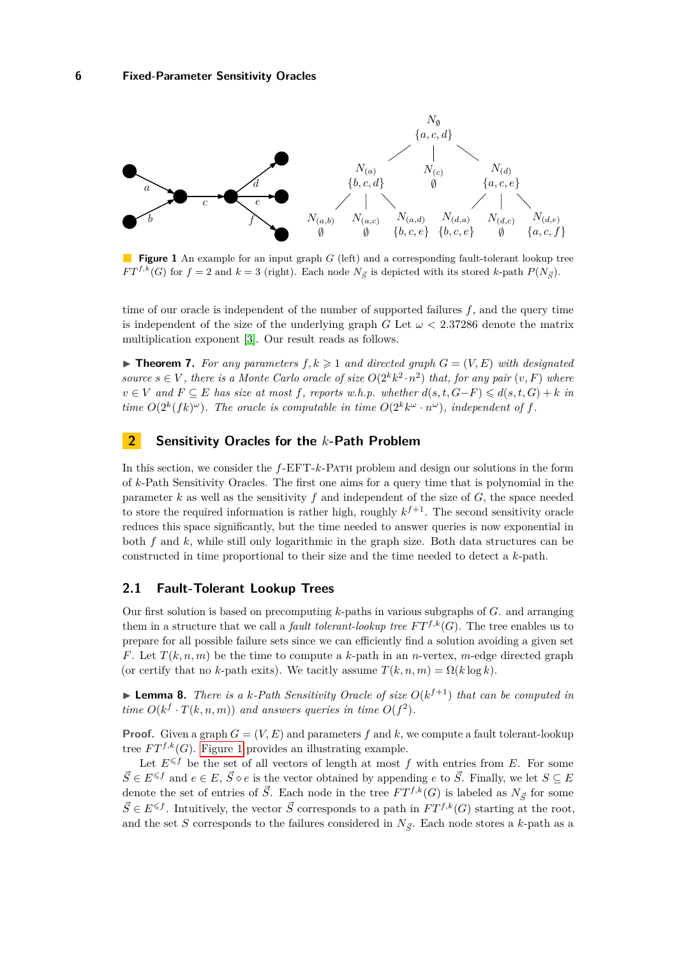<span id="page-5-1"></span>

**Figure 1** An example for an input graph *G* (left) and a corresponding fault-tolerant lookup tree *FT*<sup>*f*,k</sup>(*G*) for *f* = 2 and  $k = 3$  (right). Each node  $N_{\overline{S}}$  is depicted with its stored *k*-path  $P(N_{\overline{S}})$ .

time of our oracle is independent of the number of supported failures *f*, and the query time is independent of the size of the underlying graph *G* Let  $\omega < 2.37286$  denote the matrix multiplication exponent [\[3\]](#page-16-6). Our result reads as follows.

<span id="page-5-3"></span> $\blacktriangleright$  **Theorem 7.** For any parameters  $f, k \geq 1$  and directed graph  $G = (V, E)$  with designated *source*  $s \in V$ *, there is a Monte Carlo oracle of size*  $O(2^k k^2 \cdot n^2)$  *that, for any pair*  $(v, F)$  *where v* ∈ *V* and  $F ⊆ E$  *has size at most*  $f$ *, reports w.h.p. whether*  $d(s, t, G-F) \leq d(s, t, G) + k$  *in time*  $O(2^k(fk)^\omega)$ *. The oracle is computable in time*  $O(2^k k^\omega \cdot n^\omega)$ *, independent of f.* 

# <span id="page-5-0"></span>**2 Sensitivity Oracles for the** *k***-Path Problem**

In this section, we consider the *f*-EFT-*k*-Path problem and design our solutions in the form of *k*-Path Sensitivity Oracles. The first one aims for a query time that is polynomial in the parameter *k* as well as the sensitivity *f* and independent of the size of *G*, the space needed to store the required information is rather high, roughly  $k^{f+1}$ . The second sensitivity oracle reduces this space significantly, but the time needed to answer queries is now exponential in both *f* and *k*, while still only logarithmic in the graph size. Both data structures can be constructed in time proportional to their size and the time needed to detect a *k*-path.

## **2.1 Fault-Tolerant Lookup Trees**

Our first solution is based on precomputing *k*-paths in various subgraphs of *G*. and arranging them in a structure that we call a *fault tolerant-lookup tree*  $FT^{f,k}(G)$ . The tree enables us to prepare for all possible failure sets since we can efficiently find a solution avoiding a given set *F*. Let  $T(k, n, m)$  be the time to compute a *k*-path in an *n*-vertex, *m*-edge directed graph (or certify that no *k*-path exits). We tacitly assume  $T(k, n, m) = \Omega(k \log k)$ .

<span id="page-5-2"></span> $\blacktriangleright$  **Lemma 8.** *There is a k-Path Sensitivity Oracle of size*  $O(k^{f+1})$  *that can be computed in time*  $O(k^f \cdot T(k, n, m))$  *and answers queries in time*  $O(f^2)$ *.* 

**Proof.** Given a graph  $G = (V, E)$  and parameters  $f$  and  $k$ , we compute a fault tolerant-lookup tree  $FT^{f,k}(G)$ . [Figure 1](#page-5-1) provides an illustrating example.

Let  $E^{\leq f}$  be the set of all vectors of length at most  $f$  with entries from  $E$ . For some  $\vec{S} \in E^{\leq f}$  and  $e \in E$ ,  $\vec{S} \diamond e$  is the vector obtained by appending *e* to  $\vec{S}$ . Finally, we let  $S \subseteq E$ denote the set of entries of  $\vec{S}$ . Each node in the tree  $FT^{f,k}(G)$  is labeled as  $N_{\vec{S}}$  for some  $\vec{S} \in E^{\leq f}$ . Intuitively, the vector  $\vec{S}$  corresponds to a path in  $FT^{f,k}(G)$  starting at the root, and the set *S* corresponds to the failures considered in  $N_{\vec{S}}$ . Each node stores a *k*-path as a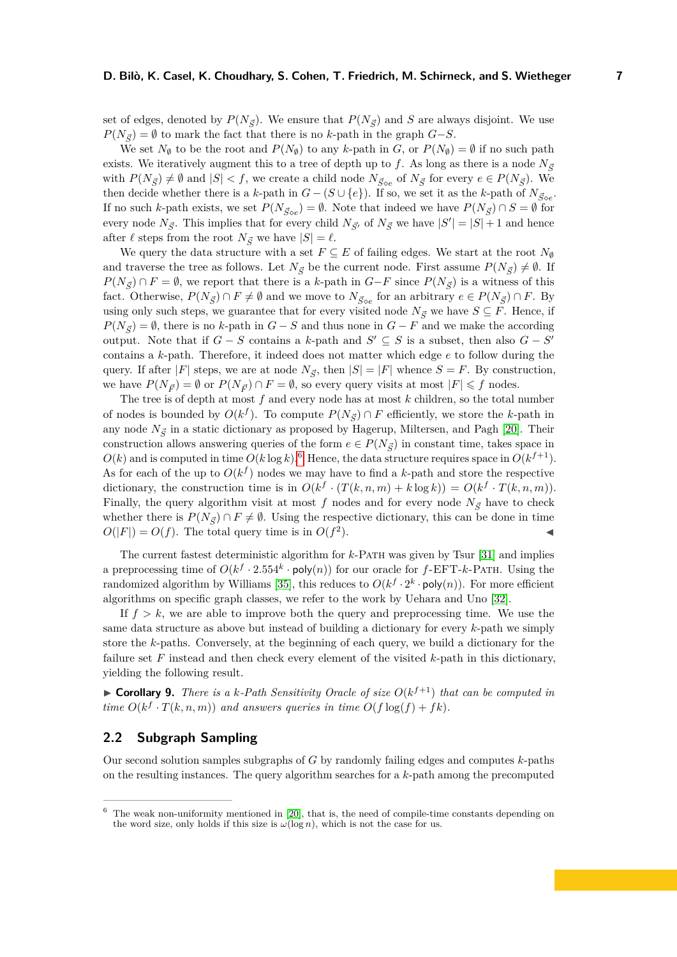set of edges, denoted by  $P(N_{\vec{s}})$ . We ensure that  $P(N_{\vec{s}})$  and *S* are always disjoint. We use  $P(N_{\vec{S}}) = \emptyset$  to mark the fact that there is no *k*-path in the graph *G*−*S*.

We set  $N_{\emptyset}$  to be the root and  $P(N_{\emptyset})$  to any *k*-path in *G*, or  $P(N_{\emptyset}) = \emptyset$  if no such path exists. We iteratively augment this to a tree of depth up to f. As long as there is a node  $N_{\vec{s}}$ with  $P(N_{\vec{S}}) \neq \emptyset$  and  $|S| < f$ , we create a child node  $N_{\vec{S} \circ e}$  of  $N_{\vec{S}}$  for every  $e \in P(N_{\vec{S}})$ . We then decide whether there is a *k*-path in  $G - (S \cup \{e\})$ . If so, we set it as the *k*-path of  $N_{\vec{S} \circ e}$ . If no such *k*-path exists, we set  $P(N_{\vec{S} \circ e}) = \emptyset$ . Note that indeed we have  $P(N_{\vec{S}}) \cap S = \emptyset$  for every node  $N_{\vec{S}}$ . This implies that for every child  $N_{\vec{S}'}$  of  $N_{\vec{S}}$  we have  $|S'| = |S| + 1$  and hence after  $\ell$  steps from the root  $N_{\vec{S}}$  we have  $|S| = \ell$ .

We query the data structure with a set  $F \subseteq E$  of failing edges. We start at the root  $N_{\emptyset}$ and traverse the tree as follows. Let  $N_{\vec{S}}$  be the current node. First assume  $P(N_{\vec{S}}) \neq \emptyset$ . If *P*( $N_{\vec{S}}$ ) ∩ *F* =  $\emptyset$ , we report that there is a *k*-path in *G*−*F* since *P*( $N_{\vec{S}}$ ) is a witness of this fact. Otherwise,  $P(N_{\vec{S}}) \cap F \neq \emptyset$  and we move to  $N_{\vec{S} \circ e}$  for an arbitrary  $e \in P(N_{\vec{S}}) \cap F$ . By using only such steps, we guarantee that for every visited node  $N_{\vec{S}}$  we have  $S \subseteq F$ . Hence, if  $P(N_{\vec{S}}) = \emptyset$ , there is no *k*-path in *G* − *S* and thus none in *G* − *F* and we make the according output. Note that if  $G - S$  contains a k-path and  $S' \subseteq S$  is a subset, then also  $G - S'$ contains a *k*-path. Therefore, it indeed does not matter which edge *e* to follow during the query. If after  $|F|$  steps, we are at node  $N_{\vec{S}}$ , then  $|S| = |F|$  whence  $S = F$ . By construction, we have  $P(N_{\vec{p}}) = \emptyset$  or  $P(N_{\vec{p}}) \cap F = \emptyset$ , so every query visits at most  $|F| \leq f$  nodes.

The tree is of depth at most *f* and every node has at most *k* children, so the total number of nodes is bounded by  $O(k^f)$ . To compute  $P(N_{\vec{S}}) \cap F$  efficiently, we store the *k*-path in any node  $N_{\vec{\sigma}}$  in a static dictionary as proposed by Hagerup, Miltersen, and Pagh [\[20\]](#page-17-12). Their construction allows answering queries of the form  $e \in P(N_{\vec{S}})$  in constant time, takes space in  $O(k)$  and is computed in time  $O(k \log k)$ .<sup>[6](#page-6-0)</sup> Hence, the data structure requires space in  $O(k^{f+1})$ . As for each of the up to  $O(k^f)$  nodes we may have to find a k-path and store the respective dictionary, the construction time is in  $O(k^f \cdot (T(k, n, m) + k \log k)) = O(k^f \cdot T(k, n, m)).$ Finally, the query algorithm visit at most f nodes and for every node  $N_{\vec{S}}$  have to check whether there is  $P(N_{\vec{S}}) \cap F \neq \emptyset$ . Using the respective dictionary, this can be done in time  $O(|F|) = O(f)$ . The total query time is in  $O(f^2)$  $\blacksquare$ ).

The current fastest deterministic algorithm for *k*-Path was given by Tsur [\[31\]](#page-18-5) and implies a preprocessing time of  $O(k^f \cdot 2.554^k \cdot \text{poly}(n))$  for our oracle for  $f$ -EFT-*k*-PATH. Using the randomized algorithm by Williams [\[35\]](#page-18-6), this reduces to  $O(k^f \cdot 2^k \cdot \text{poly}(n))$ . For more efficient algorithms on specific graph classes, we refer to the work by Uehara and Uno [\[32\]](#page-18-8).

If  $f > k$ , we are able to improve both the query and preprocessing time. We use the same data structure as above but instead of building a dictionary for every *k*-path we simply store the *k*-paths. Conversely, at the beginning of each query, we build a dictionary for the failure set *F* instead and then check every element of the visited *k*-path in this dictionary, yielding the following result.

 $\triangleright$  **Corollary 9.** *There is a k-Path Sensitivity Oracle of size*  $O(k^{f+1})$  *that can be computed in time*  $O(k^f \cdot T(k, n, m))$  *and answers queries in time*  $O(f \log(f) + fk)$ *.* 

## **2.2 Subgraph Sampling**

Our second solution samples subgraphs of *G* by randomly failing edges and computes *k*-paths on the resulting instances. The query algorithm searches for a *k*-path among the precomputed

<span id="page-6-0"></span> $6$  The weak non-uniformity mentioned in [\[20\]](#page-17-12), that is, the need of compile-time constants depending on the word size, only holds if this size is  $\omega(\log n)$ , which is not the case for us.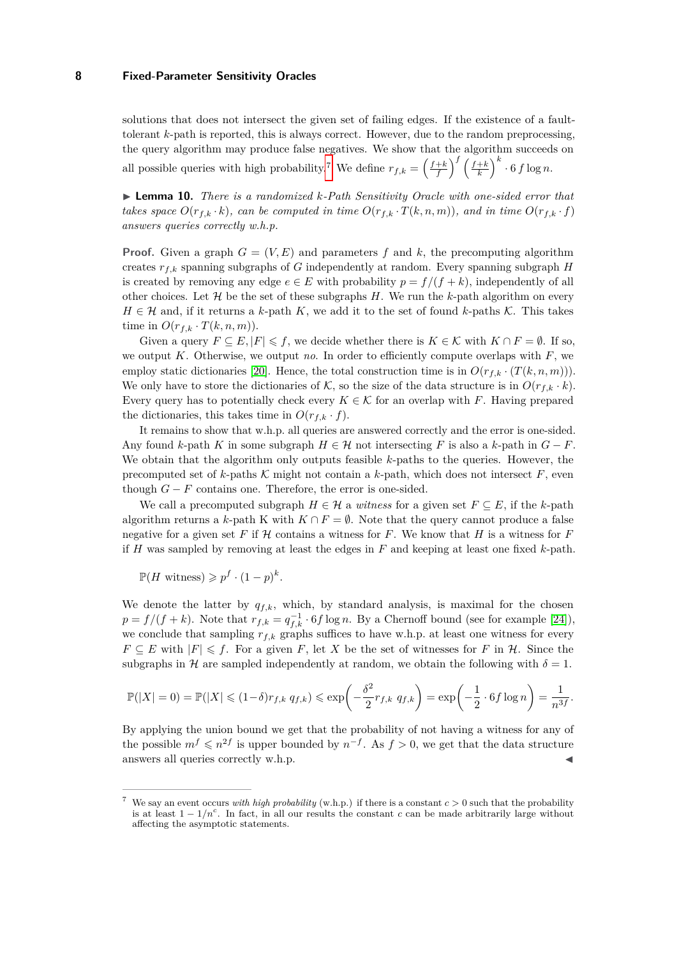solutions that does not intersect the given set of failing edges. If the existence of a faulttolerant *k*-path is reported, this is always correct. However, due to the random preprocessing, the query algorithm may produce false negatives. We show that the algorithm succeeds on all possible queries with high probability.<sup>[7](#page-7-0)</sup> We define  $r_{f,k} = \left(\frac{f+k}{f}\right)^f \left(\frac{f+k}{k}\right)^k \cdot 6 f \log n$ .

<span id="page-7-1"></span>▶ **Lemma 10.** *There is a randomized k-Path Sensitivity Oracle with one-sided error that takes space*  $O(r_{f,k} \cdot k)$ *, can be computed in time*  $O(r_{f,k} \cdot T(k,n,m))$ *, and in time*  $O(r_{f,k} \cdot f)$ *answers queries correctly w.h.p.*

**Proof.** Given a graph  $G = (V, E)$  and parameters f and k, the precomputing algorithm creates  $r_{f,k}$  spanning subgraphs of *G* independently at random. Every spanning subgraph *H* is created by removing any edge  $e \in E$  with probability  $p = f/(f + k)$ , independently of all other choices. Let  $\mathcal H$  be the set of these subgraphs  $H$ . We run the *k*-path algorithm on every  $H \in \mathcal{H}$  and, if it returns a *k*-path *K*, we add it to the set of found *k*-paths K. This takes time in  $O(r_{f,k} \cdot T(k,n,m)).$ 

Given a query  $F \subseteq E, |F| \leq f$ , we decide whether there is  $K \in \mathcal{K}$  with  $K \cap F = \emptyset$ . If so, we output *K*. Otherwise, we output *no*. In order to efficiently compute overlaps with *F*, we employ static dictionaries [\[20\]](#page-17-12). Hence, the total construction time is in  $O(r_{f,k} \cdot (T(k,n,m)))$ . We only have to store the dictionaries of K, so the size of the data structure is in  $O(r_{f,k} \cdot k)$ . Every query has to potentially check every  $K \in \mathcal{K}$  for an overlap with *F*. Having prepared the dictionaries, this takes time in  $O(r_{f,k} \cdot f)$ .

It remains to show that w.h.p. all queries are answered correctly and the error is one-sided. Any found *k*-path *K* in some subgraph  $H \in \mathcal{H}$  not intersecting *F* is also a *k*-path in  $G - F$ . We obtain that the algorithm only outputs feasible *k*-paths to the queries. However, the precomputed set of  $k$ -paths  $\mathcal K$  might not contain a  $k$ -path, which does not intersect  $F$ , even though  $G - F$  contains one. Therefore, the error is one-sided.

We call a precomputed subgraph  $H \in \mathcal{H}$  a *witness* for a given set  $F \subseteq E$ , if the *k*-path algorithm returns a *k*-path K with  $K \cap F = \emptyset$ . Note that the query cannot produce a false negative for a given set  $F$  if  $H$  contains a witness for  $F$ . We know that  $H$  is a witness for  $F$ if *H* was sampled by removing at least the edges in *F* and keeping at least one fixed *k*-path.

$$
\mathbb{P}(H \text{ witness}) \geqslant p^f \cdot (1-p)^k.
$$

We denote the latter by  $q_{f,k}$ , which, by standard analysis, is maximal for the chosen  $p = f/(f + k)$ . Note that  $r_{f,k} = q_{f,k}^{-1} \cdot 6f \log n$ . By a Chernoff bound (see for example [\[24\]](#page-17-13)), we conclude that sampling  $r_{f,k}$  graphs suffices to have w.h.p. at least one witness for every *F* ⊆ *E* with  $|F|$  ≤ *f*. For a given *F*, let *X* be the set of witnesses for *F* in *H*. Since the subgraphs in H are sampled independently at random, we obtain the following with  $\delta = 1$ .

$$
\mathbb{P}(|X|=0) = \mathbb{P}(|X| \leq (1-\delta)r_{f,k} q_{f,k}) \leq \exp\left(-\frac{\delta^2}{2}r_{f,k} q_{f,k}\right) = \exp\left(-\frac{1}{2} \cdot 6f \log n\right) = \frac{1}{n^{3f}}.
$$

By applying the union bound we get that the probability of not having a witness for any of the possible  $m^f \leqslant n^{2f}$  is upper bounded by  $n^{-f}$ . As  $f > 0$ , we get that the data structure  $a$  answers all queries correctly w.h.p.

<span id="page-7-0"></span>We say an event occurs *with high probability* (w.h.p.) if there is a constant  $c > 0$  such that the probability is at least  $1 - 1/n^c$ . In fact, in all our results the constant *c* can be made arbitrarily large without affecting the asymptotic statements.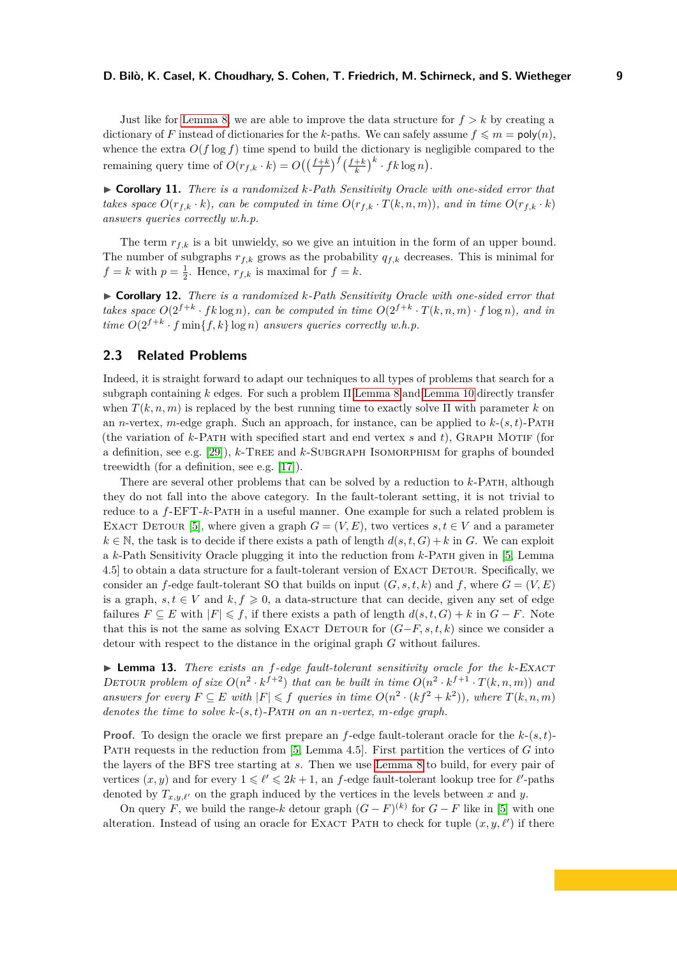Just like for [Lemma 8,](#page-5-2) we are able to improve the data structure for  $f > k$  by creating a dictionary of *F* instead of dictionaries for the *k*-paths. We can safely assume  $f \leq m = \text{poly}(n)$ , whence the extra  $O(f \log f)$  time spend to build the dictionary is negligible compared to the remaining query time of  $O(r_{f,k} \cdot k) = O\left(\left(\frac{f+k}{f}\right)^f \left(\frac{f+k}{k}\right)^k \cdot fk \log n\right)$ .

▶ **Corollary 11.** *There is a randomized k-Path Sensitivity Oracle with one-sided error that takes space*  $O(r_{f,k} \cdot k)$ *, can be computed in time*  $O(r_{f,k} \cdot T(k,n,m))$ *, and in time*  $O(r_{f,k} \cdot k)$ *answers queries correctly w.h.p.*

The term  $r_{f,k}$  is a bit unwieldy, so we give an intuition in the form of an upper bound. The number of subgraphs  $r_{f,k}$  grows as the probability  $q_{f,k}$  decreases. This is minimal for  $f = k$  with  $p = \frac{1}{2}$ . Hence,  $r_{f,k}$  is maximal for  $f = k$ .

▶ **Corollary 12.** *There is a randomized k-Path Sensitivity Oracle with one-sided error that takes space*  $O(2^{f+k} \cdot f k \log n)$ *, can be computed in time*  $O(2^{f+k} \cdot T(k,n,m) \cdot f \log n)$ *, and in time*  $O(2^{f+k} \cdot f \min\{f, k\} \log n)$  *answers queries correctly w.h.p.* 

# **2.3 Related Problems**

Indeed, it is straight forward to adapt our techniques to all types of problems that search for a subgraph containing *k* edges. For such a problem Π [Lemma 8](#page-5-2) and [Lemma 10](#page-7-1) directly transfer when  $T(k, n, m)$  is replaced by the best running time to exactly solve  $\Pi$  with parameter k on an *n*-vertex, *m*-edge graph. Such an approach, for instance, can be applied to  $k-(s,t)$ -PATH (the variation of *k*-Path with specified start and end vertex *s* and *t*), Graph Motif (for a definition, see e.g. [\[29\]](#page-18-7)), *k*-Tree and *k*-Subgraph Isomorphism for graphs of bounded treewidth (for a definition, see e.g. [\[17\]](#page-17-7)).

There are several other problems that can be solved by a reduction to *k*-Path, although they do not fall into the above category. In the fault-tolerant setting, it is not trivial to reduce to a *f*-EFT-*k*-Path in a useful manner. One example for such a related problem is EXACT DETOUR [\[5\]](#page-16-5), where given a graph  $G = (V, E)$ , two vertices  $s, t \in V$  and a parameter  $k \in \mathbb{N}$ , the task is to decide if there exists a path of length  $d(s, t, G) + k$  in *G*. We can exploit a *k*-Path Sensitivity Oracle plugging it into the reduction from *k*-Path given in [\[5,](#page-16-5) Lemma 4.5] to obtain a data structure for a fault-tolerant version of EXACT DETOUR. Specifically, we consider an *f*-edge fault-tolerant SO that builds on input  $(G, s, t, k)$  and *f*, where  $G = (V, E)$ is a graph,  $s, t \in V$  and  $k, f \geq 0$ , a data-structure that can decide, given any set of edge failures  $F \subseteq E$  with  $|F| \leq f$ , if there exists a path of length  $d(s, t, G) + k$  in  $G - F$ . Note that this is not the same as solving EXACT DETOUR for  $(G-F, s, t, k)$  since we consider a detour with respect to the distance in the original graph *G* without failures.

▶ **Lemma 13.** *There exists an f-edge fault-tolerant sensitivity oracle for the k*-Exact DETOUR problem of size  $O(n^2 \cdot k^{f+2})$  that can be built in time  $O(n^2 \cdot k^{f+1} \cdot T(k,n,m))$  and *answers for every*  $F \subseteq E$  *with*  $|F| \leq f$  *queries in time*  $O(n^2 \cdot (kf^2 + k^2))$ *, where*  $T(k, n, m)$ *denotes the time to solve k*-(*s, t*)-Path *on an n-vertex, m-edge graph.*

**Proof.** To design the oracle we first prepare an *f*-edge fault-tolerant oracle for the *k*-(*s, t*)- Path requests in the reduction from [\[5,](#page-16-5) Lemma 4.5]. First partition the vertices of *G* into the layers of the BFS tree starting at *s*. Then we use [Lemma 8](#page-5-2) to build, for every pair of vertices  $(x, y)$  and for every  $1 \leq \ell' \leq 2k + 1$ , an *f*-edge fault-tolerant lookup tree for  $\ell'$ -paths denoted by  $T_{x,y,\ell'}$  on the graph induced by the vertices in the levels between x and y.

On query *F*, we build the range-*k* detour graph  $(G - F)^{(k)}$  for  $G - F$  like in [\[5\]](#page-16-5) with one alteration. Instead of using an oracle for EXACT PATH to check for tuple  $(x, y, \ell')$  if there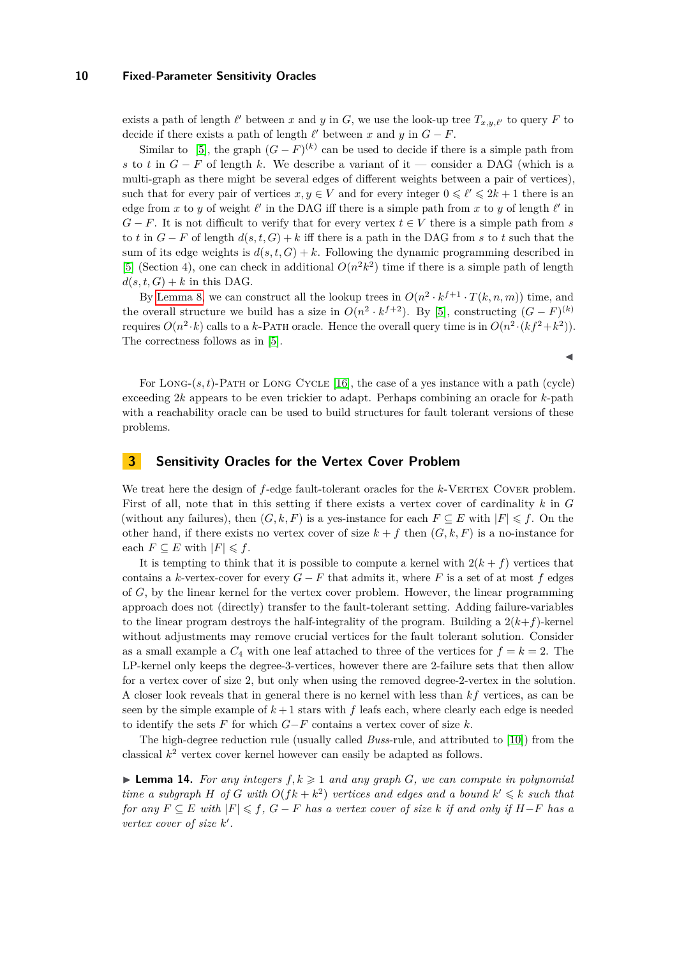exists a path of length  $\ell'$  between *x* and *y* in *G*, we use the look-up tree  $T_{x,y,\ell'}$  to query *F* to decide if there exists a path of length  $\ell'$  between  $x$  and  $y$  in  $G - F$ .

Similar to [\[5\]](#page-16-5), the graph  $(G - F)^{(k)}$  can be used to decide if there is a simple path from *s* to *t* in  $G - F$  of length *k*. We describe a variant of it — consider a DAG (which is a multi-graph as there might be several edges of different weights between a pair of vertices), such that for every pair of vertices  $x, y \in V$  and for every integer  $0 \leq \ell' \leq 2k + 1$  there is an edge from *x* to *y* of weight  $\ell'$  in the DAG iff there is a simple path from *x* to *y* of length  $\ell'$  in  $G - F$ . It is not difficult to verify that for every vertex  $t \in V$  there is a simple path from *s* to *t* in  $G - F$  of length  $d(s, t, G) + k$  iff there is a path in the DAG from *s* to *t* such that the sum of its edge weights is  $d(s, t, G) + k$ . Following the dynamic programming described in [\[5\]](#page-16-5) (Section 4), one can check in additional  $O(n^2k^2)$  time if there is a simple path of length  $d(s, t, G) + k$  in this DAG.

By [Lemma 8,](#page-5-2) we can construct all the lookup trees in  $O(n^2 \cdot k^{f+1} \cdot T(k, n, m))$  time, and the overall structure we build has a size in  $O(n^2 \cdot k^{f+2})$ . By [\[5\]](#page-16-5), constructing  $(G - F)^{(k)}$ requires  $O(n^2 \cdot k)$  calls to a *k*-PATH oracle. Hence the overall query time is in  $O(n^2 \cdot (kf^2 + k^2))$ . The correctness follows as in [\[5\]](#page-16-5).

◀

For LONG- $(s, t)$ -PATH or LONG CYCLE [\[16\]](#page-17-14), the case of a yes instance with a path (cycle) exceeding 2*k* appears to be even trickier to adapt. Perhaps combining an oracle for *k*-path with a reachability oracle can be used to build structures for fault tolerant versions of these problems.

# <span id="page-9-0"></span>**3 Sensitivity Oracles for the Vertex Cover Problem**

We treat here the design of *f*-edge fault-tolerant oracles for the *k*-VERTEX COVER problem. First of all, note that in this setting if there exists a vertex cover of cardinality *k* in *G* (without any failures), then  $(G, k, F)$  is a yes-instance for each  $F \subseteq E$  with  $|F| \leq f$ . On the other hand, if there exists no vertex cover of size  $k + f$  then  $(G, k, F)$  is a no-instance for each  $F \subseteq E$  with  $|F| \leq f$ .

It is tempting to think that it is possible to compute a kernel with  $2(k + f)$  vertices that contains a *k*-vertex-cover for every  $G - F$  that admits it, where F is a set of at most f edges of *G*, by the linear kernel for the vertex cover problem. However, the linear programming approach does not (directly) transfer to the fault-tolerant setting. Adding failure-variables to the linear program destroys the half-integrality of the program. Building a  $2(k+f)$ -kernel without adjustments may remove crucial vertices for the fault tolerant solution. Consider as a small example a  $C_4$  with one leaf attached to three of the vertices for  $f = k = 2$ . The LP-kernel only keeps the degree-3-vertices, however there are 2-failure sets that then allow for a vertex cover of size 2, but only when using the removed degree-2-vertex in the solution. A closer look reveals that in general there is no kernel with less than *kf* vertices, as can be seen by the simple example of  $k+1$  stars with  $f$  leafs each, where clearly each edge is needed to identify the sets  $F$  for which  $G-F$  contains a vertex cover of size  $k$ .

The high-degree reduction rule (usually called *Buss*-rule, and attributed to [\[10\]](#page-17-15)) from the classical *k* <sup>2</sup> vertex cover kernel however can easily be adapted as follows.

<span id="page-9-1"></span> $\blacktriangleright$  **Lemma 14.** For any integers  $f, k \geq 1$  and any graph *G*, we can compute in polynomial *time a subgraph H of G with*  $O(fk + k^2)$  *vertices and edges and a bound*  $k' \leq k$  *such that for any*  $F \subseteq E$  *with*  $|F| \leq f$ ,  $G - F$  *has a vertex cover of size k if and only if*  $H - F$  *has a vertex cover of size k* ′ *.*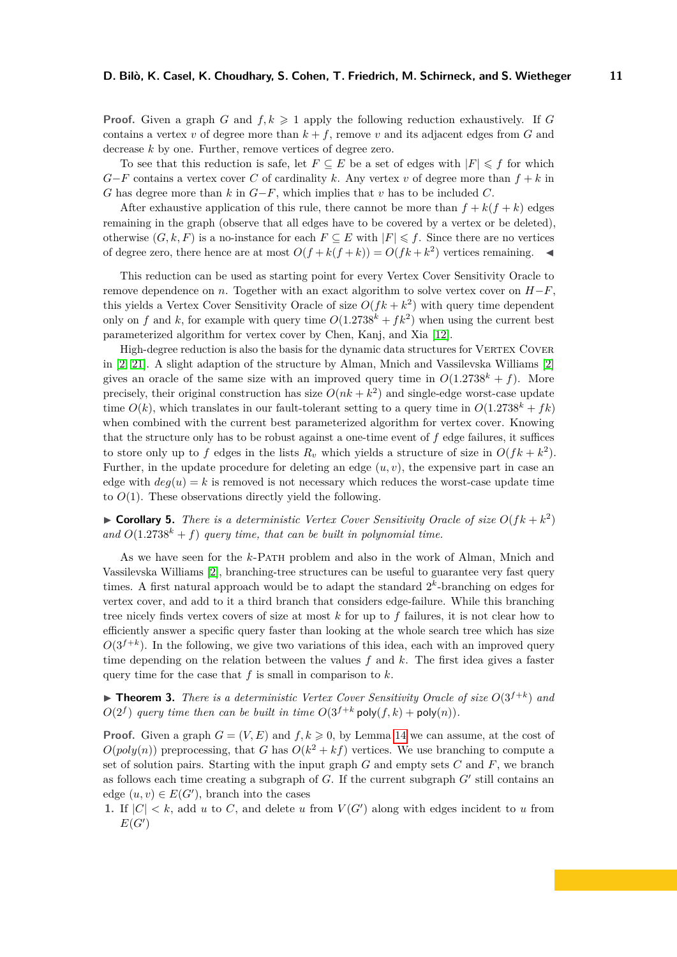**Proof.** Given a graph *G* and  $f, k \geq 1$  apply the following reduction exhaustively. If *G* contains a vertex *v* of degree more than  $k + f$ , remove *v* and its adjacent edges from *G* and decrease *k* by one. Further, remove vertices of degree zero.

To see that this reduction is safe, let  $F \subseteq E$  be a set of edges with  $|F| \leq f$  for which  $G-F$  contains a vertex cover *C* of cardinality *k*. Any vertex *v* of degree more than  $f + k$  in *G* has degree more than *k* in *G*−*F*, which implies that *v* has to be included *C*.

After exhaustive application of this rule, there cannot be more than  $f + k(f + k)$  edges remaining in the graph (observe that all edges have to be covered by a vertex or be deleted), otherwise  $(G, k, F)$  is a no-instance for each  $F \subseteq E$  with  $|F| \leq f$ . Since there are no vertices of degree zero, there hence are at most  $O(f + k(f + k)) = O(fk + k^2)$  vertices remaining.  $\blacktriangleleft$ 

This reduction can be used as starting point for every Vertex Cover Sensitivity Oracle to remove dependence on *n*. Together with an exact algorithm to solve vertex cover on  $H-F$ . this yields a Vertex Cover Sensitivity Oracle of size  $O(fk + k^2)$  with query time dependent only on *f* and *k*, for example with query time  $O(1.2738^k + fk^2)$  when using the current best parameterized algorithm for vertex cover by Chen, Kanj, and Xia [\[12\]](#page-17-16).

High-degree reduction is also the basis for the dynamic data structures for VERTEX COVER in [\[2,](#page-16-4) [21\]](#page-17-4). A slight adaption of the structure by Alman, Mnich and Vassilevska Williams [\[2\]](#page-16-4) gives an oracle of the same size with an improved query time in  $O(1.2738^{k} + f)$ . More precisely, their original construction has size  $O(nk + k^2)$  and single-edge worst-case update time  $O(k)$ , which translates in our fault-tolerant setting to a query time in  $O(1.2738^k + fk)$ when combined with the current best parameterized algorithm for vertex cover. Knowing that the structure only has to be robust against a one-time event of *f* edge failures, it suffices to store only up to f edges in the lists  $R_v$  which yields a structure of size in  $O(fk + k^2)$ . Further, in the update procedure for deleting an edge  $(u, v)$ , the expensive part in case an edge with  $deq(u) = k$  is removed is not necessary which reduces the worst-case update time to  $O(1)$ . These observations directly yield the following.

 $\triangleright$  **Corollary 5.** *There is a deterministic Vertex Cover Sensitivity Oracle of size*  $O(fk + k^2)$ and  $O(1.2738^k + f)$  *query time, that can be built in polynomial time.* 

As we have seen for the *k*-Path problem and also in the work of Alman, Mnich and Vassilevska Williams [\[2\]](#page-16-4), branching-tree structures can be useful to guarantee very fast query times. A first natural approach would be to adapt the standard  $2<sup>k</sup>$ -branching on edges for vertex cover, and add to it a third branch that considers edge-failure. While this branching tree nicely finds vertex covers of size at most *k* for up to *f* failures, it is not clear how to efficiently answer a specific query faster than looking at the whole search tree which has size  $O(3^{f+k})$ . In the following, we give two variations of this idea, each with an improved query time depending on the relation between the values *f* and *k*. The first idea gives a faster query time for the case that *f* is small in comparison to *k*.

 $\blacktriangleright$  **Theorem 3.** *There is a deterministic Vertex Cover Sensitivity Oracle of size*  $O(3^{f+k})$  *and*  $O(2^f)$  *query time then can be built in time*  $O(3^{f+k} \text{poly}(f,k) + \text{poly}(n))$ *.* 

**Proof.** Given a graph  $G = (V, E)$  and  $f, k \ge 0$ , by Lemma [14](#page-9-1) we can assume, at the cost of  $O(poly(n))$  preprocessing, that *G* has  $O(k^2 + kf)$  vertices. We use branching to compute a set of solution pairs. Starting with the input graph *G* and empty sets *C* and *F*, we branch as follows each time creating a subgraph of *G*. If the current subgraph *G*′ still contains an edge  $(u, v) \in E(G')$ , branch into the cases

**1.** If  $|C| < k$ , add *u* to *C*, and delete *u* from  $V(G')$  along with edges incident to *u* from  $E(G')$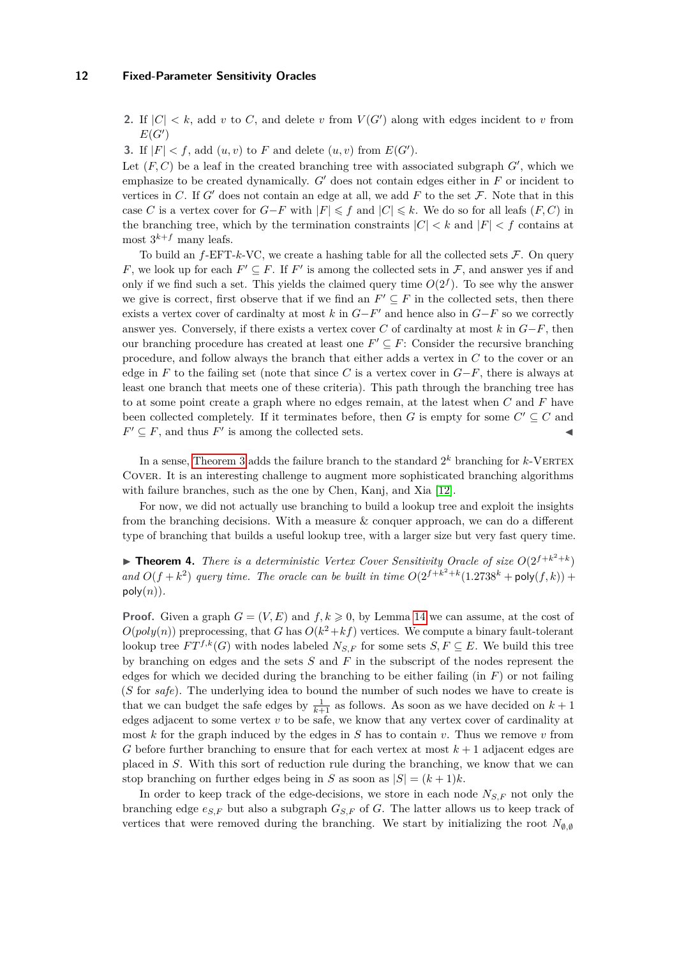**2.** If  $|C| < k$ , add *v* to *C*, and delete *v* from  $V(G')$  along with edges incident to *v* from  $E(G')$ 

**3.** If  $|F| < f$ , add  $(u, v)$  to *F* and delete  $(u, v)$  from  $E(G')$ .

Let  $(F, C)$  be a leaf in the created branching tree with associated subgraph  $G'$ , which we emphasize to be created dynamically. *G*′ does not contain edges either in *F* or incident to vertices in  $C$ . If  $G'$  does not contain an edge at all, we add  $F$  to the set  $\mathcal F$ . Note that in this case *C* is a vertex cover for  $G-F$  with  $|F| \leq f$  and  $|C| \leq k$ . We do so for all leafs  $(F, C)$  in the branching tree, which by the termination constraints  $|C| < k$  and  $|F| < f$  contains at most  $3^{k+f}$  many leafs.

To build an  $f$ -EFT- $k$ -VC, we create a hashing table for all the collected sets  $\mathcal{F}$ . On query *F*, we look up for each  $F' \subseteq F$ . If  $F'$  is among the collected sets in  $\mathcal{F}$ , and answer yes if and only if we find such a set. This yields the claimed query time  $O(2^f)$ . To see why the answer we give is correct, first observe that if we find an  $F' \subseteq F$  in the collected sets, then there exists a vertex cover of cardinalty at most  $k$  in  $G-F'$  and hence also in  $G-F$  so we correctly answer yes. Conversely, if there exists a vertex cover *C* of cardinalty at most *k* in *G*−*F*, then our branching procedure has created at least one  $F' \subseteq F$ : Consider the recursive branching procedure, and follow always the branch that either adds a vertex in *C* to the cover or an edge in  $F$  to the failing set (note that since  $C$  is a vertex cover in  $G-F$ , there is always at least one branch that meets one of these criteria). This path through the branching tree has to at some point create a graph where no edges remain, at the latest when *C* and *F* have been collected completely. If it terminates before, then *G* is empty for some  $C' \subseteq C$  and  $F' \subseteq F$ , and thus  $F'$  is among the collected sets.

In a sense, [Theorem 3](#page-3-2) adds the failure branch to the standard  $2^k$  branching for  $k$ -VERTEX Cover. It is an interesting challenge to augment more sophisticated branching algorithms with failure branches, such as the one by Chen, Kanj, and Xia [\[12\]](#page-17-16).

For now, we did not actually use branching to build a lookup tree and exploit the insights from the branching decisions. With a measure & conquer approach, we can do a different type of branching that builds a useful lookup tree, with a larger size but very fast query time.

**• Theorem 4.** *There is a deterministic Vertex Cover Sensitivity Oracle of size*  $O(2^{f+k^2+k})$ and  $O(f + k^2)$  *query time. The oracle can be built in time*  $O(2^{f+k^2+k}(1.2738^k + \text{poly}(f, k)) +$  $poly(n)$ .

**Proof.** Given a graph  $G = (V, E)$  and  $f, k \ge 0$ , by Lemma [14](#page-9-1) we can assume, at the cost of  $O(poly(n))$  preprocessing, that *G* has  $O(k^2 + kf)$  vertices. We compute a binary fault-tolerant lookup tree  $FT^{f,k}(G)$  with nodes labeled  $N_{S,F}$  for some sets  $S, F \subseteq E$ . We build this tree by branching on edges and the sets *S* and *F* in the subscript of the nodes represent the edges for which we decided during the branching to be either failing (in *F*) or not failing (*S* for *safe*). The underlying idea to bound the number of such nodes we have to create is that we can budget the safe edges by  $\frac{1}{k+1}$  as follows. As soon as we have decided on  $k+1$ edges adjacent to some vertex *v* to be safe, we know that any vertex cover of cardinality at most *k* for the graph induced by the edges in *S* has to contain *v*. Thus we remove *v* from *G* before further branching to ensure that for each vertex at most *k* + 1 adjacent edges are placed in *S*. With this sort of reduction rule during the branching, we know that we can stop branching on further edges being in *S* as soon as  $|S| = (k+1)k$ .

In order to keep track of the edge-decisions, we store in each node  $N_{S,F}$  not only the branching edge  $e_{S,F}$  but also a subgraph  $G_{S,F}$  of *G*. The latter allows us to keep track of vertices that were removed during the branching. We start by initializing the root  $N_{\varnothing,\varnothing}$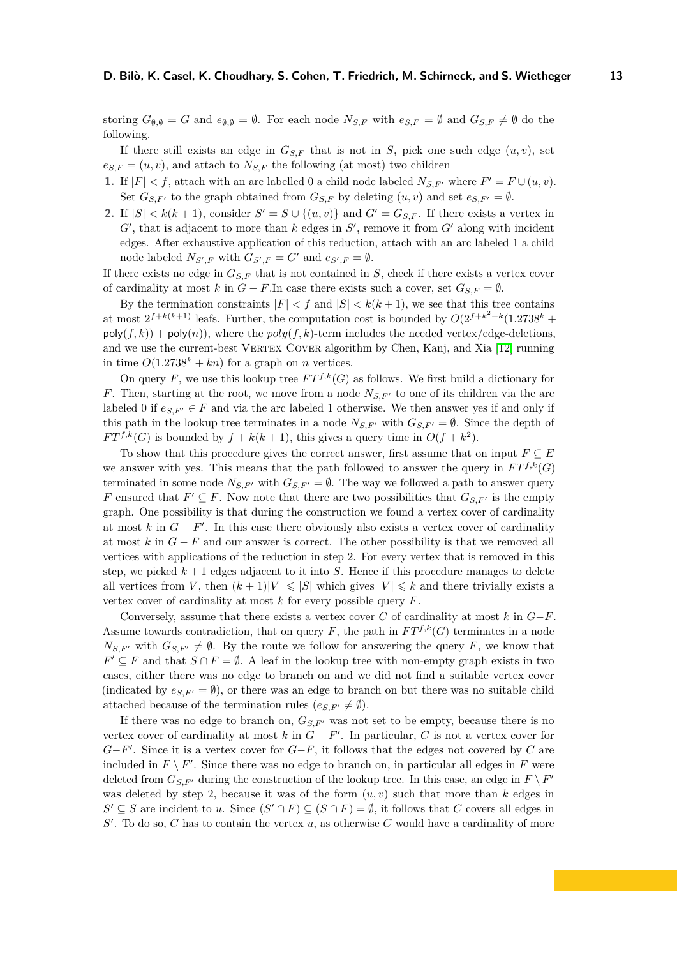storing  $G_{\emptyset,\emptyset} = G$  and  $e_{\emptyset,\emptyset} = \emptyset$ . For each node  $N_{S,F}$  with  $e_{S,F} = \emptyset$  and  $G_{S,F} \neq \emptyset$  do the following.

If there still exists an edge in  $G_{S,F}$  that is not in *S*, pick one such edge  $(u, v)$ , set  $e_{S,F} = (u, v)$ , and attach to  $N_{S,F}$  the following (at most) two children

- **1.** If  $|F| < f$ , attach with an arc labelled 0 a child node labeled  $N_{S,F'}$  where  $F' = F \cup (u, v)$ . Set  $G_{S,F'}$  to the graph obtained from  $G_{S,F}$  by deleting  $(u, v)$  and set  $e_{S,F'} = \emptyset$ .
- **2.** If  $|S| < k(k+1)$ , consider  $S' = S \cup \{(u, v)\}\$ and  $G' = G_{S,F}$ . If there exists a vertex in *G*′ , that is adjacent to more than *k* edges in *S* ′ , remove it from *G*′ along with incident edges. After exhaustive application of this reduction, attach with an arc labeled 1 a child node labeled  $N_{S',F}$  with  $G_{S',F} = G'$  and  $e_{S',F} = \emptyset$ .

If there exists no edge in  $G_{S,F}$  that is not contained in *S*, check if there exists a vertex cover of cardinality at most *k* in  $G - F$ . In case there exists such a cover, set  $G_{S,F} = \emptyset$ .

By the termination constraints  $|F| < f$  and  $|S| < k(k+1)$ , we see that this tree contains at most  $2^{f+k(k+1)}$  leafs. Further, the computation cost is bounded by  $O(2^{f+k^2+k}(1.2738^k +$  $poly(f, k)$  +  $poly(n)$ ), where the  $poly(f, k)$ -term includes the needed vertex/edge-deletions, and we use the current-best VERTEX COVER algorithm by Chen, Kanj, and Xia [\[12\]](#page-17-16) running in time  $O(1.2738^k + kn)$  for a graph on *n* vertices.

On query *F*, we use this lookup tree  $FT^{f,k}(G)$  as follows. We first build a dictionary for *F*. Then, starting at the root, we move from a node  $N_{S,F'}$  to one of its children via the arc labeled 0 if  $e_{S,F'} \in F$  and via the arc labeled 1 otherwise. We then answer yes if and only if this path in the lookup tree terminates in a node  $N_{S,F'}$  with  $G_{S,F'} = \emptyset$ . Since the depth of  $FT^{f,k}(G)$  is bounded by  $f + k(k+1)$ , this gives a query time in  $O(f + k^2)$ .

To show that this procedure gives the correct answer, first assume that on input  $F \subseteq E$ we answer with yes. This means that the path followed to answer the query in  $FT^{f,k}(G)$ terminated in some node  $N_{S,F'}$  with  $G_{S,F'} = \emptyset$ . The way we followed a path to answer query *F* ensured that  $F' \subseteq F$ . Now note that there are two possibilities that  $G_{S,F'}$  is the empty graph. One possibility is that during the construction we found a vertex cover of cardinality at most  $k$  in  $G - F'$ . In this case there obviously also exists a vertex cover of cardinality at most  $k$  in  $G - F$  and our answer is correct. The other possibility is that we removed all vertices with applications of the reduction in step 2. For every vertex that is removed in this step, we picked  $k+1$  edges adjacent to it into *S*. Hence if this procedure manages to delete all vertices from *V*, then  $(k+1)|V| \leq |S|$  which gives  $|V| \leq k$  and there trivially exists a vertex cover of cardinality at most *k* for every possible query *F*.

Conversely, assume that there exists a vertex cover *C* of cardinality at most *k* in *G*−*F*. Assume towards contradiction, that on query *F*, the path in  $FT^{f,k}(G)$  terminates in a node  $N_{S,F'}$  with  $G_{S,F'} \neq \emptyset$ . By the route we follow for answering the query *F*, we know that *F*<sup> $\prime$ </sup> ⊆ *F* and that *S* ∩ *F* =  $\emptyset$ . A leaf in the lookup tree with non-empty graph exists in two cases, either there was no edge to branch on and we did not find a suitable vertex cover (indicated by  $e_{S,F'} = \emptyset$ ), or there was an edge to branch on but there was no suitable child attached because of the termination rules  $(e_{S,F'} \neq \emptyset)$ .

If there was no edge to branch on,  $G_{S,F'}$  was not set to be empty, because there is no vertex cover of cardinality at most  $k$  in  $G - F'$ . In particular,  $C$  is not a vertex cover for *G*−*F*<sup>'</sup>. Since it is a vertex cover for *G*−*F*, it follows that the edges not covered by *C* are included in  $F \setminus F'$ . Since there was no edge to branch on, in particular all edges in  $F$  were deleted from  $G_{S,F'}$  during the construction of the lookup tree. In this case, an edge in  $F \setminus F'$ was deleted by step 2, because it was of the form  $(u, v)$  such that more than  $k$  edges in *S*<sup> $′$ </sup> ⊆ *S* are incident to *u*. Since  $(S' \cap F)$  ⊆  $(S \cap F) = \emptyset$ , it follows that *C* covers all edges in  $S'$ . To do so,  $C$  has to contain the vertex  $u$ , as otherwise  $C$  would have a cardinality of more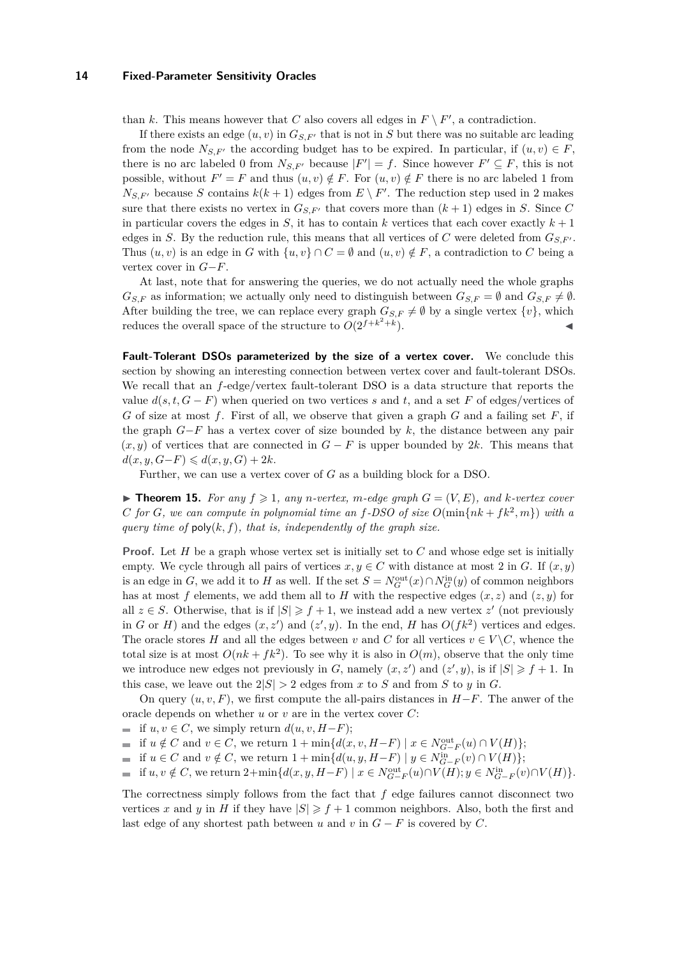than *k*. This means however that *C* also covers all edges in  $F \setminus F'$ , a contradiction.

If there exists an edge  $(u, v)$  in  $G_{S, F'}$  that is not in *S* but there was no suitable arc leading from the node  $N_{S,F'}$  the according budget has to be expired. In particular, if  $(u, v) \in F$ , there is no arc labeled 0 from  $N_{S,F'}$  because  $|F'| = f$ . Since however  $F' \subseteq F$ , this is not possible, without  $F' = F$  and thus  $(u, v) \notin F$ . For  $(u, v) \notin F$  there is no arc labeled 1 from  $N_{S,F'}$  because *S* contains  $k(k+1)$  edges from  $E \setminus F'$ . The reduction step used in 2 makes sure that there exists no vertex in  $G_{S,F'}$  that covers more than  $(k+1)$  edges in *S*. Since *C* in particular covers the edges in *S*, it has to contain *k* vertices that each cover exactly  $k + 1$ edges in *S*. By the reduction rule, this means that all vertices of *C* were deleted from  $G_{S,F'}$ . Thus  $(u, v)$  is an edge in *G* with  $\{u, v\} \cap C = \emptyset$  and  $(u, v) \notin F$ , a contradiction to *C* being a vertex cover in *G*−*F*.

At last, note that for answering the queries, we do not actually need the whole graphs  $G_{S,F}$  as information; we actually only need to distinguish between  $G_{S,F} = \emptyset$  and  $G_{S,F} \neq \emptyset$ . After building the tree, we can replace every graph  $G_{S,F} \neq \emptyset$  by a single vertex  $\{v\}$ , which reduces the overall space of the structure to  $O(2^{f+k^2+k^2})$ ). ◀

**Fault-Tolerant DSOs parameterized by the size of a vertex cover.** We conclude this section by showing an interesting connection between vertex cover and fault-tolerant DSOs. We recall that an *f*-edge/vertex fault-tolerant DSO is a data structure that reports the value  $d(s, t, G - F)$  when queried on two vertices *s* and *t*, and a set *F* of edges/vertices of *G* of size at most *f*. First of all, we observe that given a graph *G* and a failing set *F*, if the graph *G*−*F* has a vertex cover of size bounded by *k*, the distance between any pair  $(x, y)$  of vertices that are connected in  $G - F$  is upper bounded by 2*k*. This means that *d*(*x*, *y*, *G*−*F*) ≤ *d*(*x*, *y*, *G*) + 2*k*.

Further, we can use a vertex cover of *G* as a building block for a DSO.

 $\blacktriangleright$  **Theorem 15.** For any  $f \geq 1$ , any *n*-vertex, *m*-edge graph  $G = (V, E)$ , and *k*-vertex cover *C for G*, we can compute in polynomial time an *f*-DSO of size  $O(\min\{nk + fk^2, m\})$  with a *query time of* poly(*k, f*)*, that is, independently of the graph size.*

**Proof.** Let *H* be a graph whose vertex set is initially set to *C* and whose edge set is initially empty. We cycle through all pairs of vertices  $x, y \in C$  with distance at most 2 in *G*. If  $(x, y)$ is an edge in *G*, we add it to *H* as well. If the set  $S = N_G^{\text{out}}(x) \cap N_G^{\text{in}}(y)$  of common neighbors has at most f elements, we add them all to H with the respective edges  $(x, z)$  and  $(z, y)$  for all  $z \in S$ . Otherwise, that is if  $|S| \geq f + 1$ , we instead add a new vertex  $z'$  (not previously in *G* or *H*) and the edges  $(x, z')$  and  $(z', y)$ . In the end, *H* has  $O(fk^2)$  vertices and edges. The oracle stores *H* and all the edges between *v* and *C* for all vertices  $v \in V \backslash C$ , whence the total size is at most  $O(nk + fk^2)$ . To see why it is also in  $O(m)$ , observe that the only time we introduce new edges not previously in *G*, namely  $(x, z')$  and  $(z', y)$ , is if  $|S| \geq f + 1$ . In this case, we leave out the  $2|S| > 2$  edges from *x* to *S* and from *S* to *y* in *G*.

On query (*u, v, F*), we first compute the all-pairs distances in *H*−*F*. The anwer of the oracle depends on whether *u* or *v* are in the vertex cover *C*:

- $\blacksquare$  if *u, v* ∈ *C*, we simply return *d*(*u, v, H*−*F*);
- if  $u \notin C$  and  $v \in C$ , we return  $1 + \min\{d(x, v, H F) \mid x \in N_{G-F}^{\text{out}}(u) \cap V(H)\};$
- if *u* ∈ *C* and *v* ∉ *C*, we return 1 + min{ $d(u, y, H F) \mid y \in N_{G-F}^{\text{in}}(v) \cap V(H)$ };
- if  $u, v \notin C$ , we return  $2+\min\{d(x, y, H-F) \mid x \in N^{\text{out}}_{G-F}(u) \cap V(H); y \in N^{\text{in}}_{G-F}(v) \cap V(H)\}.$

The correctness simply follows from the fact that *f* edge failures cannot disconnect two vertices x and y in *H* if they have  $|S| \geq f + 1$  common neighbors. Also, both the first and last edge of any shortest path between *u* and *v* in  $G - F$  is covered by  $C$ .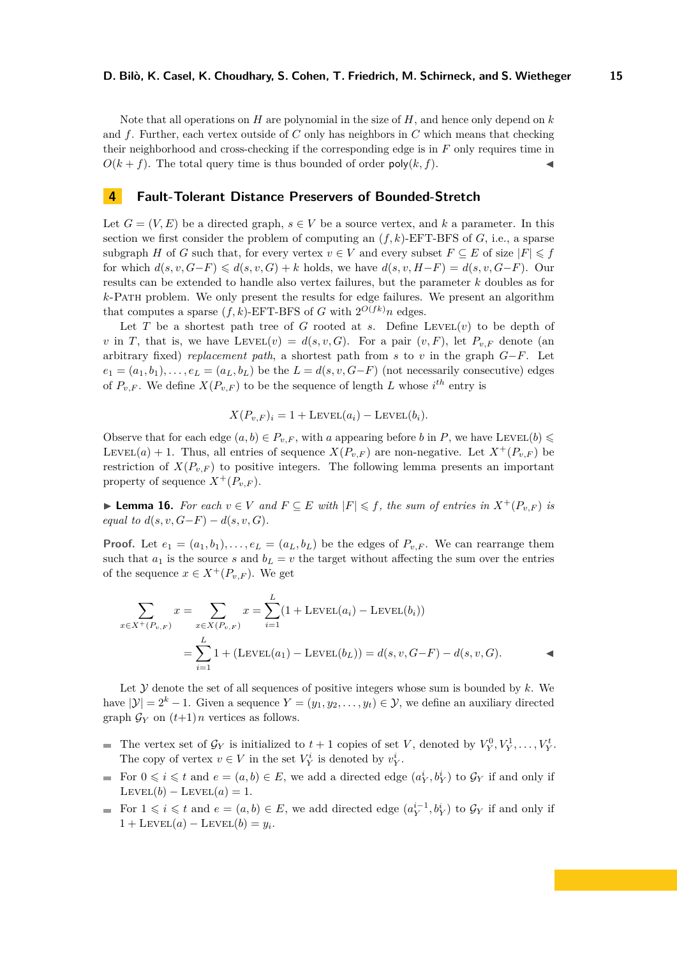Note that all operations on *H* are polynomial in the size of *H*, and hence only depend on *k* and *f*. Further, each vertex outside of *C* only has neighbors in *C* which means that checking their neighborhood and cross-checking if the corresponding edge is in *F* only requires time in  $O(k + f)$ . The total query time is thus bounded of order  $poly(k, f)$ .

# <span id="page-14-0"></span>**4 Fault-Tolerant Distance Preservers of Bounded-Stretch**

Let  $G = (V, E)$  be a directed graph,  $s \in V$  be a source vertex, and k a parameter. In this section we first consider the problem of computing an  $(f, k)$ -EFT-BFS of  $G$ , i.e., a sparse subgraph *H* of *G* such that, for every vertex  $v \in V$  and every subset  $F \subseteq E$  of size  $|F| \leq f$ for which  $d(s, v, G-F) \leq d(s, v, G) + k$  holds, we have  $d(s, v, H-F) = d(s, v, G-F)$ . Our results can be extended to handle also vertex failures, but the parameter *k* doubles as for *k*-Path problem. We only present the results for edge failures. We present an algorithm that computes a sparse  $(f, k)$ -EFT-BFS of *G* with  $2^{O(fk)}n$  edges.

Let *T* be a shortest path tree of *G* rooted at *s*. Define LEVEL $(v)$  to be depth of *v* in *T*, that is, we have LEVEL(*v*) =  $d(s, v, G)$ . For a pair  $(v, F)$ , let  $P_{v, F}$  denote (an arbitrary fixed) *replacement path*, a shortest path from *s* to *v* in the graph *G*−*F*. Let  $e_1 = (a_1, b_1), \ldots, e_L = (a_L, b_L)$  be the  $L = d(s, v, G - F)$  (not necessarily consecutive) edges of  $P_{v,F}$ . We define  $X(P_{v,F})$  to be the sequence of length *L* whose  $i^{th}$  entry is

$$
X(P_{v,F})_i = 1 + \text{LEVEL}(a_i) - \text{LEVEL}(b_i).
$$

Observe that for each edge  $(a, b) \in P_{v,F}$ , with *a* appearing before *b* in *P*, we have LEVEL(*b*)  $\leq$ LEVEL(a) + 1. Thus, all entries of sequence  $X(P_{v,F})$  are non-negative. Let  $X^+(P_{v,F})$  be restriction of  $X(P_{v,F})$  to positive integers. The following lemma presents an important property of sequence  $X^+(P_{v,F})$ .

<span id="page-14-1"></span>▶ **Lemma 16.** *For each*  $v \in V$  *and*  $F \subseteq E$  *with*  $|F| \leq f$ , *the sum of entries in*  $X^+(P_{v,F})$  *is equal to*  $d(s, v, G - F) - d(s, v, G)$ *.* 

**Proof.** Let  $e_1 = (a_1, b_1), \ldots, e_L = (a_L, b_L)$  be the edges of  $P_{v,F}$ . We can rearrange them such that  $a_1$  is the source *s* and  $b_L = v$  the target without affecting the sum over the entries of the sequence  $x \in X^+(P_{v,F})$ . We get

$$
\sum_{x \in X^+(P_{v,F})} x = \sum_{x \in X(P_{v,F})} x = \sum_{i=1}^L (1 + \text{Levet}(a_i) - \text{Levet}(b_i))
$$
  
= 
$$
\sum_{i=1}^L 1 + (\text{Levet}(a_1) - \text{Levet}(b_L)) = d(s, v, G - F) - d(s, v, G).
$$

Let  $\mathcal Y$  denote the set of all sequences of positive integers whose sum is bounded by  $k$ . We have  $|\mathcal{Y}| = 2^k - 1$ . Given a sequence  $Y = (y_1, y_2, \dots, y_t) \in \mathcal{Y}$ , we define an auxiliary directed graph  $\mathcal{G}_Y$  on  $(t+1)n$  vertices as follows.

- The vertex set of  $\mathcal{G}_Y$  is initialized to  $t + 1$  copies of set *V*, denoted by  $V_Y^0, V_Y^1, \ldots, V_Y^t$ . m. The copy of vertex  $v \in V$  in the set  $V_Y^i$  is denoted by  $v_Y^i$ .
- For  $0 \leq i \leq t$  and  $e = (a, b) \in E$ , we add a directed edge  $(a_Y^i, b_Y^i)$  to  $\mathcal{G}_Y$  if and only if  $\text{Lev}\text{EL}(b) - \text{Lev}\text{EL}(a) = 1.$
- For  $1 \leq i \leq t$  and  $e = (a, b) \in E$ , we add directed edge  $(a_Y^{i-1}, b_Y^i)$  to  $\mathcal{G}_Y$  if and only if  $1 + \text{LevEL}(a) - \text{LevEL}(b) = y_i.$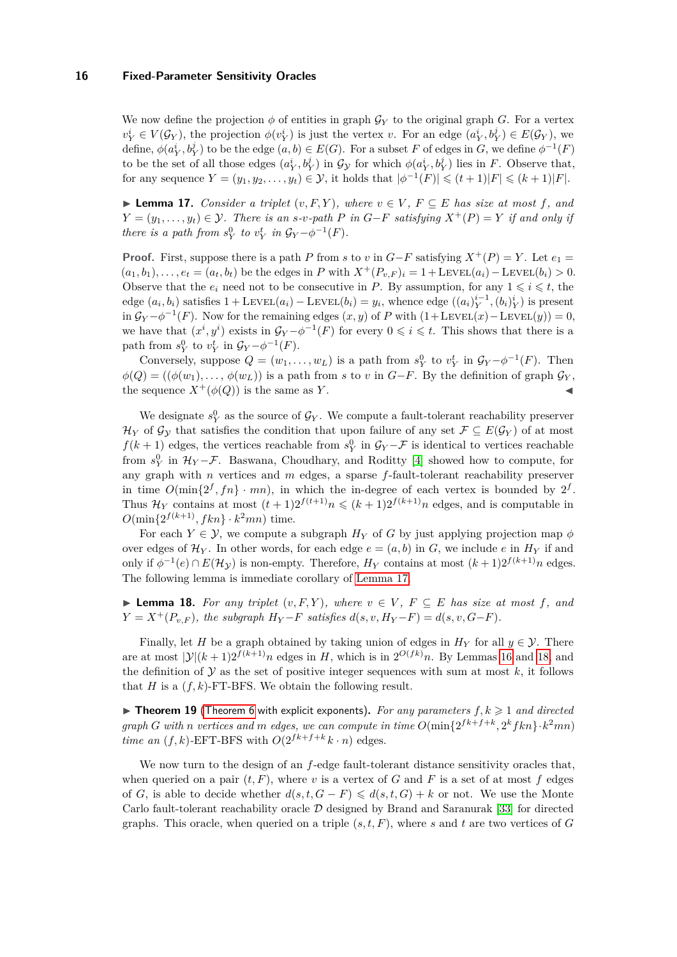We now define the projection  $\phi$  of entities in graph  $\mathcal{G}_Y$  to the original graph *G*. For a vertex  $v_Y^i \in V(\mathcal{G}_Y)$ , the projection  $\phi(v_Y^i)$  is just the vertex v. For an edge  $(a_Y^i, b_Y^j) \in E(\mathcal{G}_Y)$ , we define,  $\phi(a_Y^i, b_Y^j)$  to be the edge  $(a, b) \in E(G)$ . For a subset *F* of edges in *G*, we define  $\phi^{-1}(F)$ to be the set of all those edges  $(a_Y^i, b_Y^j)$  in  $\mathcal{G}_\mathcal{Y}$  for which  $\phi(a_Y^i, b_Y^j)$  lies in *F*. Observe that, for any sequence  $Y = (y_1, y_2, \ldots, y_t) \in \mathcal{Y}$ , it holds that  $|\phi^{-1}(F)| \leq (t+1)|F| \leq (k+1)|F|$ .

<span id="page-15-0"></span>▶ **Lemma 17.** *Consider a triplet*  $(v, F, Y)$ *, where*  $v \in V$ *,*  $F \subseteq E$  *has size at most*  $f$ *, and Y* =  $(y_1, \ldots, y_t)$  ∈ *Y. There is an s-v-path P in G*−*F satisfying*  $X^+(P) = Y$  *if and only if there is a path from*  $s_Y^0$  *to*  $v_Y^t$  *in*  $\mathcal{G}_Y - \phi^{-1}(F)$ *.* 

**Proof.** First, suppose there is a path *P* from *s* to *v* in  $G$ −*F* satisfying  $X^+(P) = Y$ . Let  $e_1 =$  $(a_1, b_1), \ldots, e_t = (a_t, b_t)$  be the edges in *P* with  $X^+(P_{v,F})_i = 1 + \text{LEVEL}(a_i) - \text{LEVEL}(b_i) > 0$ . Observe that the  $e_i$  need not to be consecutive in *P*. By assumption, for any  $1 \leq i \leq t$ , the edge  $(a_i, b_i)$  satisfies  $1 + \text{LevEL}(a_i) - \text{LevEL}(b_i) = y_i$ , whence edge  $((a_i)_{Y}^{i-1}, (b_i)_{Y}^{i})$  is present in  $\mathcal{G}_Y - \phi^{-1}(F)$ . Now for the remaining edges  $(x, y)$  of *P* with  $(1 + \text{LEVEL}(x) - \text{LEVEL}(y)) = 0$ , we have that  $(x^i, y^i)$  exists in  $\mathcal{G}_Y - \phi^{-1}(F)$  for every  $0 \leq i \leq t$ . This shows that there is a path from  $s_Y^0$  to  $v_Y^t$  in  $\mathcal{G}_Y - \phi^{-1}(F)$ .

Conversely, suppose  $Q = (w_1, \ldots, w_L)$  is a path from  $s_Y^0$  to  $v_Y^t$  in  $\mathcal{G}_Y - \phi^{-1}(F)$ . Then  $\phi(Q) = ((\phi(w_1), \ldots, \phi(w_L))$  is a path from *s* to *v* in *G*−*F*. By the definition of graph  $\mathcal{G}_Y$ , the sequence  $X^+(\phi(Q))$  is the same as *Y*.

We designate  $s_Y^0$  as the source of  $\mathcal{G}_Y$ . We compute a fault-tolerant reachability preserver  $\mathcal{H}_Y$  of  $\mathcal{G}_Y$  that satisfies the condition that upon failure of any set  $\mathcal{F} \subseteq E(\mathcal{G}_Y)$  of at most  $f(k+1)$  edges, the vertices reachable from  $s_Y^0$  in  $\mathcal{G}_Y - \mathcal{F}$  is identical to vertices reachable from  $s_Y^0$  in  $\mathcal{H}_Y$  –  $\mathcal{F}$ . Baswana, Choudhary, and Roditty [\[4\]](#page-16-7) showed how to compute, for any graph with *n* vertices and *m* edges, a sparse *f*-fault-tolerant reachability preserver in time  $O(\min\{2^f, fn\} \cdot mn)$ , in which the in-degree of each vertex is bounded by  $2^f$ . Thus  $\mathcal{H}_Y$  contains at most  $(t+1)2^{f(t+1)}n \leq (k+1)2^{f(k+1)}n$  edges, and is computable in  $O(\min\{2^{f(k+1)}, fkn\} \cdot k^2mn)$  time.

For each  $Y \in \mathcal{Y}$ , we compute a subgraph  $H_Y$  of G by just applying projection map  $\phi$ over edges of  $\mathcal{H}_Y$ . In other words, for each edge  $e = (a, b)$  in *G*, we include *e* in  $H_Y$  if and only if  $\phi^{-1}(e) \cap E(\mathcal{H}_{\mathcal{Y}})$  is non-empty. Therefore,  $H_Y$  contains at most  $(k+1)2^{f(k+1)}n$  edges. The following lemma is immediate corollary of [Lemma 17.](#page-15-0)

<span id="page-15-1"></span>▶ **Lemma 18.** For any triplet  $(v, F, Y)$ , where  $v \in V$ ,  $F \subseteq E$  has size at most f, and  $Y = X^+(P_{v,F})$ , the subgraph  $H_Y-F$  satisfies  $d(s, v, H_Y-F) = d(s, v, G-F)$ .

Finally, let *H* be a graph obtained by taking union of edges in  $H_Y$  for all  $y \in \mathcal{Y}$ . There are at most  $|\mathcal{Y}|(k+1)2^{f(k+1)}n$  edges in *H*, which is in  $2^{O(fk)}n$ . By Lemmas [16](#page-14-1) and [18,](#page-15-1) and the definition of  $Y$  as the set of positive integer sequences with sum at most  $k$ , it follows that *H* is a  $(f, k)$ -FT-BFS. We obtain the following result.

 $\triangleright$  **Theorem 19** [\(Theorem 6](#page-4-3) with explicit exponents). For any parameters  $f, k \geq 1$  and directed *graph G* with *n* vertices and *m* edges, we can compute in time  $O(\min\{2^{fk+f+k}, 2^kfkn\} \cdot k^2mn)$ *time an*  $(f, k)$ -EFT-BFS with  $O(2^{fk + f + k}k \cdot n)$  edges.

We now turn to the design of an *f*-edge fault-tolerant distance sensitivity oracles that, when queried on a pair  $(t, F)$ , where v is a vertex of *G* and *F* is a set of at most *f* edges of *G*, is able to decide whether  $d(s, t, G - F) \leq d(s, t, G) + k$  or not. We use the Monte Carlo fault-tolerant reachability oracle  $D$  designed by Brand and Saranurak [\[33\]](#page-18-9) for directed graphs. This oracle, when queried on a triple  $(s, t, F)$ , where *s* and *t* are two vertices of *G*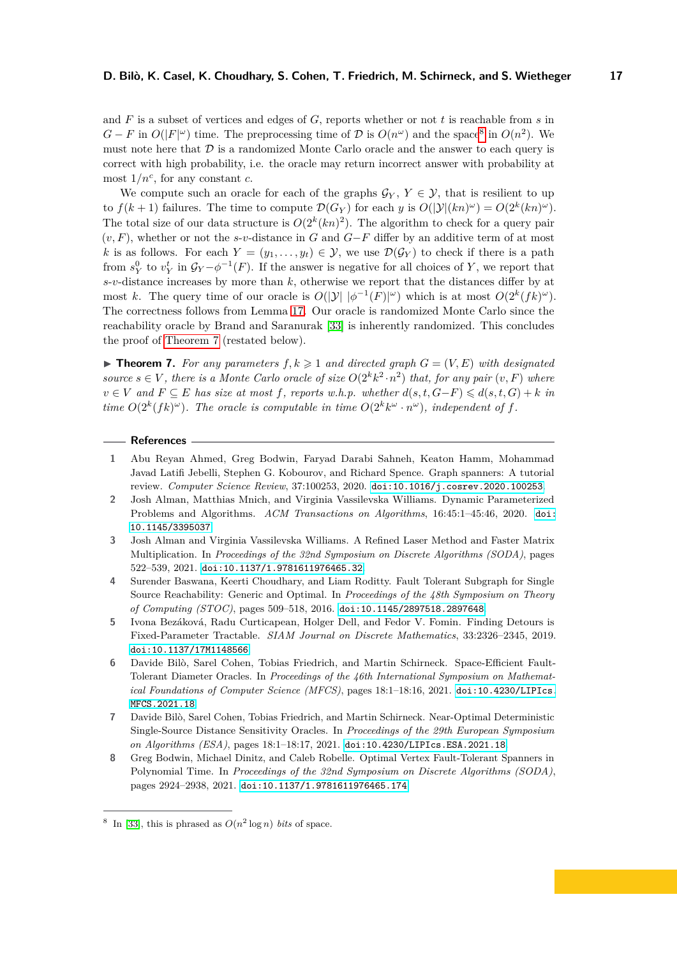and *F* is a subset of vertices and edges of *G*, reports whether or not *t* is reachable from *s* in *G* − *F* in  $O(|F|^{ω})$  time. The preprocessing time of  $\mathcal{D}$  is  $O(n^ω)$  and the space<sup>[8](#page-16-8)</sup> in  $O(n^2)$ . We must note here that  $D$  is a randomized Monte Carlo oracle and the answer to each query is correct with high probability, i.e. the oracle may return incorrect answer with probability at most  $1/n^c$ , for any constant *c*.

We compute such an oracle for each of the graphs  $\mathcal{G}_Y, Y \in \mathcal{Y}$ , that is resilient to up to  $f(k+1)$  failures. The time to compute  $\mathcal{D}(G_Y)$  for each *y* is  $O(|\mathcal{Y}|(kn)^{\omega}) = O(2^k(kn)^{\omega})$ . The total size of our data structure is  $O(2^k(kn)^2)$ . The algorithm to check for a query pair (*v, F*), whether or not the *s*-*v*-distance in *G* and *G*−*F* differ by an additive term of at most *k* is as follows. For each  $Y = (y_1, \ldots, y_t) \in \mathcal{Y}$ , we use  $\mathcal{D}(\mathcal{G}_Y)$  to check if there is a path from  $s_Y^0$  to  $v_Y^t$  in  $\mathcal{G}_Y - \phi^{-1}(F)$ . If the answer is negative for all choices of *Y*, we report that *s*-*v*-distance increases by more than *k*, otherwise we report that the distances differ by at most *k*. The query time of our oracle is  $O(|\mathcal{Y}| |\phi^{-1}(F)|^{\omega})$  which is at most  $O(2^k(fk)^{\omega})$ . The correctness follows from Lemma [17.](#page-15-0) Our oracle is randomized Monte Carlo since the reachability oracle by Brand and Saranurak [\[33\]](#page-18-9) is inherently randomized. This concludes the proof of [Theorem 7](#page-5-3) (restated below).

 $\blacktriangleright$  **Theorem 7.** For any parameters  $f, k \geq 1$  and directed graph  $G = (V, E)$  with designated *source*  $s \in V$ , there is a Monte Carlo oracle of size  $O(2^k k^2 \cdot n^2)$  that, for any pair  $(v, F)$  where *v* ∈ *V* and  $F \subseteq E$  *has size at most*  $f$ *, reports w.h.p. whether*  $d(s, t, G-F) \leq d(s, t, G) + k$  *in time*  $O(2^k(fk)^\omega)$ *. The oracle is computable in time*  $O(2^k k^\omega \cdot n^\omega)$ *, independent of f.* 

#### **References**

- <span id="page-16-0"></span>**1** Abu Reyan Ahmed, Greg Bodwin, Faryad Darabi Sahneh, Keaton Hamm, Mohammad Javad Latifi Jebelli, Stephen G. Kobourov, and Richard Spence. Graph spanners: A tutorial review. *Computer Science Review*, 37:100253, 2020. [doi:10.1016/j.cosrev.2020.100253](https://doi.org/10.1016/j.cosrev.2020.100253).
- <span id="page-16-4"></span>**2** Josh Alman, Matthias Mnich, and Virginia Vassilevska Williams. Dynamic Parameterized Problems and Algorithms. *ACM Transactions on Algorithms*, 16:45:1–45:46, 2020. [doi:](https://doi.org/10.1145/3395037) [10.1145/3395037](https://doi.org/10.1145/3395037).
- <span id="page-16-6"></span>**3** Josh Alman and Virginia Vassilevska Williams. A Refined Laser Method and Faster Matrix Multiplication. In *Proceedings of the 32nd Symposium on Discrete Algorithms (SODA)*, pages 522–539, 2021. [doi:10.1137/1.9781611976465.32](https://doi.org/10.1137/1.9781611976465.32).
- <span id="page-16-7"></span>**4** Surender Baswana, Keerti Choudhary, and Liam Roditty. Fault Tolerant Subgraph for Single Source Reachability: Generic and Optimal. In *Proceedings of the 48th Symposium on Theory of Computing (STOC)*, pages 509–518, 2016. [doi:10.1145/2897518.2897648](https://doi.org/10.1145/2897518.2897648).
- <span id="page-16-5"></span>**5** Ivona Bezáková, Radu Curticapean, Holger Dell, and Fedor V. Fomin. Finding Detours is Fixed-Parameter Tractable. *SIAM Journal on Discrete Mathematics*, 33:2326–2345, 2019. [doi:10.1137/17M1148566](https://doi.org/10.1137/17M1148566).
- <span id="page-16-1"></span>**6** Davide Bilò, Sarel Cohen, Tobias Friedrich, and Martin Schirneck. Space-Efficient Fault-Tolerant Diameter Oracles. In *Proceedings of the 46th International Symposium on Mathematical Foundations of Computer Science (MFCS)*, pages 18:1–18:16, 2021. [doi:10.4230/LIPIcs.](https://doi.org/10.4230/LIPIcs.MFCS.2021.18) [MFCS.2021.18](https://doi.org/10.4230/LIPIcs.MFCS.2021.18).
- <span id="page-16-2"></span>**7** Davide Bilò, Sarel Cohen, Tobias Friedrich, and Martin Schirneck. Near-Optimal Deterministic Single-Source Distance Sensitivity Oracles. In *Proceedings of the 29th European Symposium on Algorithms (ESA)*, pages 18:1–18:17, 2021. [doi:10.4230/LIPIcs.ESA.2021.18](https://doi.org/10.4230/LIPIcs.ESA.2021.18).
- <span id="page-16-3"></span>**8** Greg Bodwin, Michael Dinitz, and Caleb Robelle. Optimal Vertex Fault-Tolerant Spanners in Polynomial Time. In *Proceedings of the 32nd Symposium on Discrete Algorithms (SODA)*, pages 2924–2938, 2021. [doi:10.1137/1.9781611976465.174](https://doi.org/10.1137/1.9781611976465.174).

<span id="page-16-8"></span><sup>&</sup>lt;sup>8</sup> In [\[33\]](#page-18-9), this is phrased as  $O(n^2 \log n)$  *bits* of space.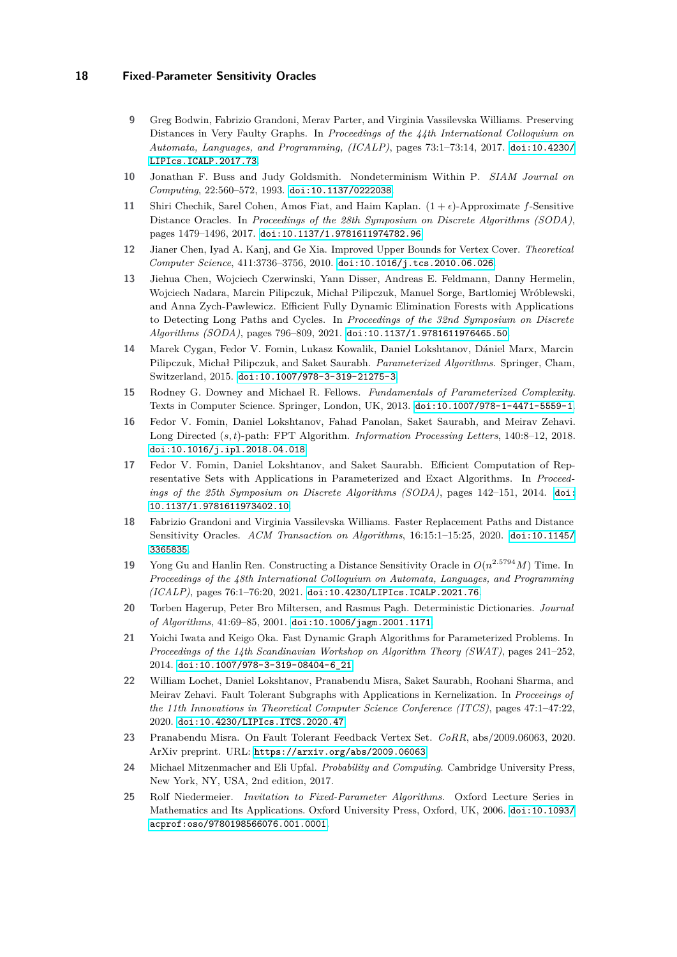- <span id="page-17-11"></span>**9** Greg Bodwin, Fabrizio Grandoni, Merav Parter, and Virginia Vassilevska Williams. Preserving Distances in Very Faulty Graphs. In *Proceedings of the 44th International Colloquium on Automata, Languages, and Programming, (ICALP)*, pages 73:1–73:14, 2017. [doi:10.4230/](https://doi.org/10.4230/LIPIcs.ICALP.2017.73) [LIPIcs.ICALP.2017.73](https://doi.org/10.4230/LIPIcs.ICALP.2017.73).
- <span id="page-17-15"></span>**10** Jonathan F. Buss and Judy Goldsmith. Nondeterminism Within P. *SIAM Journal on Computing*, 22:560–572, 1993. [doi:10.1137/0222038](https://doi.org/10.1137/0222038).
- <span id="page-17-6"></span>**11** Shiri Chechik, Sarel Cohen, Amos Fiat, and Haim Kaplan.  $(1 + \epsilon)$ -Approximate *f*-Sensitive Distance Oracles. In *Proceedings of the 28th Symposium on Discrete Algorithms (SODA)*, pages 1479–1496, 2017. [doi:10.1137/1.9781611974782.96](https://doi.org/10.1137/1.9781611974782.96).
- <span id="page-17-16"></span>**12** Jianer Chen, Iyad A. Kanj, and Ge Xia. Improved Upper Bounds for Vertex Cover. *Theoretical Computer Science*, 411:3736–3756, 2010. [doi:10.1016/j.tcs.2010.06.026](https://doi.org/10.1016/j.tcs.2010.06.026).
- <span id="page-17-5"></span>**13** Jiehua Chen, Wojciech Czerwinski, Yann Disser, Andreas E. Feldmann, Danny Hermelin, Wojciech Nadara, Marcin Pilipczuk, Michał Pilipczuk, Manuel Sorge, Bartlomiej Wróblewski, and Anna Zych-Pawlewicz. Efficient Fully Dynamic Elimination Forests with Applications to Detecting Long Paths and Cycles. In *Proceedings of the 32nd Symposium on Discrete Algorithms (SODA)*, pages 796–809, 2021. [doi:10.1137/1.9781611976465.50](https://doi.org/10.1137/1.9781611976465.50).
- <span id="page-17-8"></span>**14** Marek Cygan, Fedor V. Fomin, Lukasz Kowalik, Daniel Lokshtanov, Dániel Marx, Marcin Pilipczuk, Michał Pilipczuk, and Saket Saurabh. *Parameterized Algorithms*. Springer, Cham, Switzerland, 2015. [doi:10.1007/978-3-319-21275-3](https://doi.org/10.1007/978-3-319-21275-3).
- <span id="page-17-9"></span>**15** Rodney G. Downey and Michael R. Fellows. *Fundamentals of Parameterized Complexity*. Texts in Computer Science. Springer, London, UK, 2013. [doi:10.1007/978-1-4471-5559-1](https://doi.org/10.1007/978-1-4471-5559-1).
- <span id="page-17-14"></span>**16** Fedor V. Fomin, Daniel Lokshtanov, Fahad Panolan, Saket Saurabh, and Meirav Zehavi. Long Directed (*s, t*)-path: FPT Algorithm. *Information Processing Letters*, 140:8–12, 2018. [doi:10.1016/j.ipl.2018.04.018](https://doi.org/10.1016/j.ipl.2018.04.018).
- <span id="page-17-7"></span>**17** Fedor V. Fomin, Daniel Lokshtanov, and Saket Saurabh. Efficient Computation of Representative Sets with Applications in Parameterized and Exact Algorithms. In *Proceedings of the 25th Symposium on Discrete Algorithms (SODA)*, pages 142–151, 2014. [doi:](https://doi.org/10.1137/1.9781611973402.10) [10.1137/1.9781611973402.10](https://doi.org/10.1137/1.9781611973402.10).
- <span id="page-17-0"></span>**18** Fabrizio Grandoni and Virginia Vassilevska Williams. Faster Replacement Paths and Distance Sensitivity Oracles. *ACM Transaction on Algorithms*, 16:15:1–15:25, 2020. [doi:10.1145/](https://doi.org/10.1145/3365835) [3365835](https://doi.org/10.1145/3365835).
- <span id="page-17-1"></span>**19** Yong Gu and Hanlin Ren. Constructing a Distance Sensitivity Oracle in *O*(*n* <sup>2</sup>*.*<sup>5794</sup>*M*) Time. In *Proceedings of the 48th International Colloquium on Automata, Languages, and Programming (ICALP)*, pages 76:1–76:20, 2021. [doi:10.4230/LIPIcs.ICALP.2021.76](https://doi.org/10.4230/LIPIcs.ICALP.2021.76).
- <span id="page-17-12"></span>**20** Torben Hagerup, Peter Bro Miltersen, and Rasmus Pagh. Deterministic Dictionaries. *Journal of Algorithms*, 41:69–85, 2001. [doi:10.1006/jagm.2001.1171](https://doi.org/10.1006/jagm.2001.1171).
- <span id="page-17-4"></span>**21** Yoichi Iwata and Keigo Oka. Fast Dynamic Graph Algorithms for Parameterized Problems. In *Proceedings of the 14th Scandinavian Workshop on Algorithm Theory (SWAT)*, pages 241–252, 2014. [doi:10.1007/978-3-319-08404-6\\_21](https://doi.org/10.1007/978-3-319-08404-6_21).
- <span id="page-17-2"></span>**22** William Lochet, Daniel Lokshtanov, Pranabendu Misra, Saket Saurabh, Roohani Sharma, and Meirav Zehavi. Fault Tolerant Subgraphs with Applications in Kernelization. In *Proceeings of the 11th Innovations in Theoretical Computer Science Conference (ITCS)*, pages 47:1–47:22, 2020. [doi:10.4230/LIPIcs.ITCS.2020.47](https://doi.org/10.4230/LIPIcs.ITCS.2020.47).
- <span id="page-17-3"></span>**23** Pranabendu Misra. On Fault Tolerant Feedback Vertex Set. *CoRR*, abs/2009.06063, 2020. ArXiv preprint. URL: <https://arxiv.org/abs/2009.06063>.
- <span id="page-17-13"></span>**24** Michael Mitzenmacher and Eli Upfal. *Probability and Computing*. Cambridge University Press, New York, NY, USA, 2nd edition, 2017.
- <span id="page-17-10"></span>**25** Rolf Niedermeier. *Invitation to Fixed-Parameter Algorithms*. Oxford Lecture Series in Mathematics and Its Applications. Oxford University Press, Oxford, UK, 2006. [doi:10.1093/](https://doi.org/10.1093/acprof:oso/9780198566076.001.0001) [acprof:oso/9780198566076.001.0001](https://doi.org/10.1093/acprof:oso/9780198566076.001.0001).